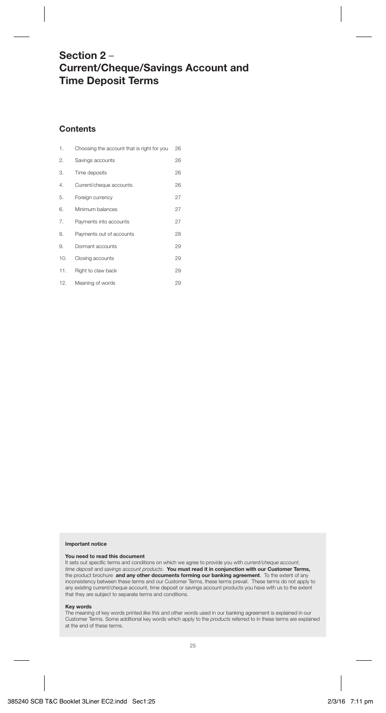# **Section 2** – **Current/Cheque/Savings Account and Time Deposit Terms**

# **Contents**

| 1.  | Choosing the account that is right for you | 26 |
|-----|--------------------------------------------|----|
| 2.  | Savings accounts                           | 26 |
| 3.  | Time deposits                              | 26 |
| 4.  | Current/cheque accounts                    | 26 |
| 5.  | Foreign currency                           | 27 |
| 6.  | Minimum balances                           | 27 |
| 7.  | Payments into accounts                     | 27 |
| 8.  | Payments out of accounts                   | 28 |
| 9.  | Dormant accounts                           | 29 |
| 10. | Closing accounts                           | 29 |
| 11. | Right to claw back                         | 29 |
| 12. | Meaning of words                           | 29 |

## **Important notice**

## **You need to read this document**

It sets out specific terms and conditions on which we agree to provide you with *current/cheque account*, *time deposit and savings account products. Y*ou must read it in conjunction with our Customer Terms,<br>the product brochure and any other documents forming our banking agreement. To the extent of any<br>inconsistency between any existing current/cheque account, time deposit or savings account products you have with us to the extent that they are subject to separate terms and conditions.

## **Key words**

The meaning of key words printed like this and other words used in our banking agreement is explained in our Customer Terms. Some additional key words which apply to the products referred to in these terms are explained at the end of these terms.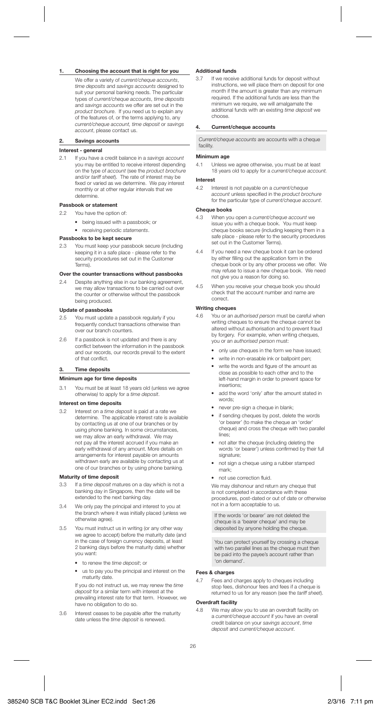#### **1. Choosing the account that is right for you**

 We offer a variety of current/cheque accounts, time deposits and savings accounts designed to suit your personal banking needs. The particular types of current/cheque accounts, time deposits and savings accounts we offer are set out in the product brochure. If you need us to explain any of the features of, or the terms applying to, any current/cheque account, time deposit or savings account, please contact us.

## **2. Savings accounts**

## **Interest - general**

2.1 If you have a credit balance in a savings account you may be entitled to receive interest depending on the type of account (see the product brochure and/or tariff sheet). The rate of interest may be fixed or varied as we determine. We pay interest monthly or at other regular intervals that we determine.

## **Passbook or statement**

- 2.2 You have the option of:
	- being issued with a passbook; or
	- receiving periodic statements.

## **Passbooks to be kept secure**

2.3 You must keep your passbook secure (including keeping it in a safe place - please refer to the security procedures set out in the Customer Terms).

## **Over the counter transactions without passbooks**

2.4 Despite anything else in our banking agreement, we may allow transactions to be carried out over the counter or otherwise without the passbook being produced.

# **Update of passbooks**

- You must update a passbook regularly if you frequently conduct transactions otherwise than over our branch counters.
- 2.6 If a passbook is not updated and there is any conflict between the information in the passbook and our records, our records prevail to the extent of that conflict.

#### **3. Time deposits**

#### **Minimum age for time deposits**

3.1 You must be at least 18 years old (unless we agree otherwise) to apply for a time deposit.

## **Interest on time deposits**

3.2 Interest on a time deposit is paid at a rate we determine. The applicable interest rate is available by contacting us at one of our branches or by using phone banking. In some circumstances, we may allow an early withdrawal. We may not pay all the interest accrued if you make an early withdrawal of any amount. More details on arrangements for interest payable on amounts withdrawn early are available by contacting us at one of our branches or by using phone banking.

#### **Maturity of time deposit**

- 3.3 If a time deposit matures on a day which is not a banking day in Singapore, then the date will be extended to the next banking day
- 3.4 We only pay the principal and interest to you at the branch where it was initially placed (unless we otherwise agree).
- 3.5 You must instruct us in writing (or any other way we agree to accept) before the maturity date (and in the case of foreign currency deposits, at least 2 banking days before the maturity date) whether you want:
	- to renew the time deposit; or
	- us to pay you the principal and interest on the maturity date.

 If you do not instruct us, we may renew the time deposit for a similar term with interest at the prevailing interest rate for that term. However, we have no obligation to do so.

3.6 Interest ceases to be payable after the maturity date unless the time deposit is renewed.

# **Additional funds**<br>3.7 If we receive

If we receive additional funds for deposit without instructions, we will place them on deposit for one month if the amount is greater than any minimum required. If the additional funds are less than the minimum we require, we will amalgamate the additional funds with an existing time deposit we choose.

## **4. Current/cheque accounts**

Current/cheque accounts are accounts with a cheque facility.

## **Minimum age**

4.1 Unless we agree otherwise, you must be at least 18 years old to apply for a current/cheque account.

## **Interest**

4.2 Interest is not payable on a current/cheque account unless specified in the product brochure for the particular type of current/cheque account.

#### **Cheque books**

- 4.3 When you open a current/cheque account we issue you with a cheque book. You must keep cheque books secure (including keeping them in a safe place - please refer to the security procedures set out in the Customer Terms).
- 4.4 If you need a new cheque book it can be ordered by either filling out the application form in the cheque book or by any other process we offer. We may refuse to issue a new cheque book. We need not give you a reason for doing so.
- 4.5 When you receive your cheque book you should check that the account number and name are correct.

#### **Writing cheques**

- 4.6 You or an authorised person must be careful when writing cheques to ensure the cheque cannot be altered without authorisation and to prevent fraud by forgery. For example, when writing cheques, you or an authorised person must:
	- only use cheques in the form we have issued;
	- write in non-erasable ink or ballpoint pen;
	- write the words and figure of the amount as close as possible to each other and to the left-hand margin in order to prevent space for insertions;
	- add the word 'only' after the amount stated in words;
	- never pre-sign a cheque in blank;
	- if sending cheques by post, delete the words 'or bearer' (to make the cheque an 'order' cheque) and cross the cheque with two parallel lines;
	- not alter the cheque (including deleting the words 'or bearer') unless confirmed by their full signature;
	- not sign a cheque using a rubber stamped mark;
	- not use correction fluid.

 We may dishonour and return any cheque that is not completed in accordance with these procedures, post-dated or out of date or otherwise not in a form acceptable to us.

If the words 'or bearer' are not deleted the cheque is a 'bearer cheque' and may be deposited by anyone holding the cheque.

You can protect yourself by crossing a cheque with two parallel lines as the cheque must then be paid into the payee's account rather than 'on demand'.

## **Fees & charges**

4.7 Fees and charges apply to cheques including stop fees, dishonour fees and fees if a cheque is returned to us for any reason (see the tariff sheet).

## **Overdraft facility**

4.8 We may allow you to use an overdraft facility on a current/cheque account if you have an overall credit balance on your savings account, time deposit and current/cheque account.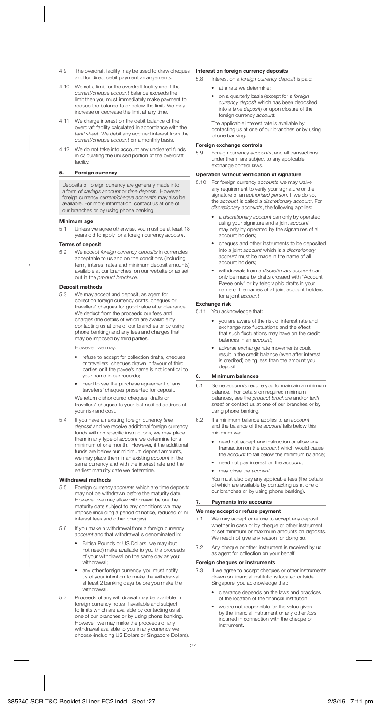- 4.9 The overdraft facility may be used to draw cheques and for direct debit payment arrangements.
- 4.10 We set a limit for the overdraft facility and if the current/cheque account balance exceeds the limit then you must immediately make payment to reduce the balance to or below the limit. We may increase or decrease the limit at any time.
- 4.11 We charge interest on the debit balance of the overdraft facility calculated in accordance with the tariff sheet. We debit any accrued interest from the current/cheque account on a monthly basis
- 4.12 We do not take into account any uncleared funds in calculating the unused portion of the overdraft facility.

## **5. Foreign currency**

Deposits of foreign currency are generally made into a form of savings account or time deposit. However, foreign currency current/cheque accounts may also be available. For more information, contact us at one of our branches or by using phone banking.

## **Minimum age**

5.1 Unless we agree otherwise, you must be at least 18 years old to apply for a foreign currency account.

## **Terms of deposit**

5.2 We accept foreign currency deposits in currencies acceptable to us and on the conditions (including term, interest rates and minimum deposit amounts) available at our branches, on our website or as set out in the product brochure.

## **Deposit methods**

5.3 We may accept and deposit, as agent for collection foreign currency drafts, cheques or travellers' cheques for good value after clearance. We deduct from the proceeds our fees and charges (the details of which are available by contacting us at one of our branches or by using phone banking) and any fees and charges that may be imposed by third parties.

However, we may:

- refuse to accept for collection drafts, cheques or travellers' cheques drawn in favour of third parties or if the payee's name is not identical to your name in our records;
- need to see the purchase agreement of any travellers' cheques presented for deposit.

 We return dishonoured cheques, drafts or travellers' cheques to your last notified address at your risk and cost.

5.4 If you have an existing foreign currency time deposit and we receive additional foreign currency funds with no specific instructions, we may place them in any type of account we determine for a minimum of one month. However, if the additional funds are below our minimum deposit amounts, we may place them in an existing account in the same currency and with the interest rate and the earliest maturity date we determine.

## **Withdrawal methods**

- 5.5 Foreign currency accounts which are time deposits may not be withdrawn before the maturity date. However, we may allow withdrawal before the maturity date subject to any conditions we may impose (including a period of notice, reduced or nil interest fees and other charges).
- 5.6 If you make a withdrawal from a foreign currency account and that withdrawal is denominated in:
	- British Pounds or US Dollars, we may (but not need) make available to you the proceeds of your withdrawal on the same day as your withdrawal;
	- any other foreign currency, you must notify us of your intention to make the withdrawal at least 2 banking days before you make the withdrawal.
- 5.7 Proceeds of any withdrawal may be available in foreign currency notes if available and subject to limits which are available by contacting us at one of our branches or by using phone banking. However, we may make the proceeds of any withdrawal available to you in any currency we choose (including US Dollars or Singapore Dollars).

# **Interest on foreign currency deposits**

5.8 Interest on a foreign currency deposit is paid:

- at a rate we determine;
- on a quarterly basis (except for a foreign currency deposit which has been deposited into a time deposit) or upon closure of the foreign currency account.

 The applicable interest rate is available by contacting us at one of our branches or by using phone banking.

#### **Foreign exchange controls**

5.9 Foreign currency accounts, and all transactions under them, are subject to any applicable exchange control laws.

## **Operation without verification of signature**

- 5.10 For foreign currency accounts we may waive any requirement to verify your signature or the signature of an *authorised person*. If we do so, the account is called a discretionary account. For discretionary accounts, the following applies:
	- a discretionary account can only by operated using your signature and a joint account may only by operated by the signatures of all account holders;
	- cheques and other instruments to be deposited into a joint account which is a discretionary account must be made in the name of all account holders;
	- withdrawals from a discretionary account can only be made by drafts crossed with "Account Payee only" or by telegraphic drafts in your name or the names of all joint account holders for a joint account.

#### **Exchange risk**

- 5.11 You acknowledge that:
	- you are aware of the risk of interest rate and ,<br>exchange rate fluctuations and the effect that such fluctuations may have on the credit balances in an account;
	- adverse exchange rate movements could result in the credit balance (even after interest is credited) being less than the amount you deposit.

## **6. Minimum balances**

- 6.1 Some accounts require you to maintain a minimum balance. For details on required minimum balances, see the product brochure and/or tariff sheet or contact us at one of our branches or by using phone banking.
- 6.2 If a minimum balance applies to an account and the balance of the account falls below this minimum we:
	- need not accept any instruction or allow any transaction on the account which would cause the account to fall below the minimum balance;
	- need not pay interest on the account;
	- may close the account.

 You must also pay any applicable fees (the details of which are available by contacting us at one of our branches or by using phone banking).

## **7. Payments into accounts**

#### **We may accept or refuse payment**

- 7.1 We may accept or refuse to accept any deposit whether in cash or by cheque or other instrument or set minimum or maximum amounts on deposits. We need not give any reason for doing so.
- 7.2 Any cheque or other instrument is received by us as agent for collection on your behalf.

## **Foreign cheques or instruments**

- 7.3 If we agree to accept cheques or other instruments drawn on financial institutions located outside Singapore, you acknowledge that:
	- clearance depends on the laws and practices of the location of the financial institution:
	- we are not responsible for the value given by the financial instrument or any other loss incurred in connection with the cheque or instrument.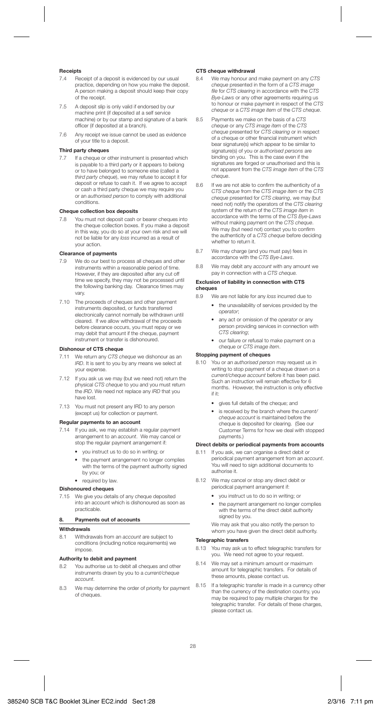# **Receipts**

- Receipt of a deposit is evidenced by our usual practice, depending on how you make the deposit. A person making a deposit should keep their copy of the receint
- 7.5 A deposit slip is only valid if endorsed by our machine print (if deposited at a self service machine) or by our stamp and signature of a bank officer (if deposited at a branch).
- 7.6 Any receipt we issue cannot be used as evidence of your title to a deposit.

## **Third party cheques**

7.7 If a cheque or other instrument is presented which is payable to a third party or it appears to belong or to have belonged to someone else (called a third party cheque), we may refuse to accept it for deposit or refuse to cash it. If we agree to accept or cash a third party cheque we may require you or an authorised person to comply with additional conditions.

## **Cheque collection box deposits**

7.8 You must not deposit cash or bearer cheques into the cheque collection boxes. If you make a deposit in this way, you do so at your own risk and we will not be liable for any loss incurred as a result of your action.

## **Clearance of payments**

- 7.9 We do our best to process all cheques and other instruments within a reasonable period of time. However, if they are deposited after any cut off time we specify, they may not be processed until the following banking day. Clearance times may vary.
- 7.10 The proceeds of cheques and other payment instruments deposited, or funds transferred electronically cannot normally be withdrawn until cleared. If we allow withdrawal of the proceeds before clearance occurs, you must repay or we may debit that amount if the cheque, payment instrument or transfer is dishonoured.

## **Dishonour of CTS cheque**

- 7.11 We return any CTS cheque we dishonour as an IRD. It is sent to you by any means we select at your expense.
- 7.12 If you ask us we may (but we need not) return the physical CTS cheque to you and you must return the IRD. We need not replace any IRD that you have lost.
- 7.13 You must not present any IRD to any person (except us) for collection or payment.

# **Regular payments to an account**

- 7.14 If you ask, we may establish a regular payment arrangement to an *account*. We may cancel or stop the regular payment arrangement if:
	- you instruct us to do so in writing; or
	- the payment arrangement no longer complies with the terms of the payment authority signed by you; or
	- required by law.

# **Dishonoured cheques**

7.15 We give you details of any cheque deposited into an account which is dishonoured as soon as practicable.

#### **8. Payments out of accounts**

#### **Withdrawals**

8.1 Withdrawals from an account are subject to conditions (including notice requirements) we impose.

#### **Authority to debit and payment**

- 8.2 You authorise us to debit all cheques and other instruments drawn by you to a current/cheque account.
- 8.3 We may determine the order of priority for payment of cheques.

#### **CTS cheque withdrawal**

- 8.4 We may honour and make payment on any CTS cheque presented in the form of a CTS image file for CTS clearing in accordance with the CTS Bye-Laws or any other agreements requiring us to honour or make payment in respect of the CTS cheque or a CTS image item of the CTS cheque.
- 8.5 Payments we make on the basis of a CTS cheque or any CTS image item of the CTS cheque presented for CTS clearing or in respect of a cheque or other financial instrument which bear signature(s) which appear to be similar to signature(s) of you or authorised persons are binding on you. This is the case even if the signatures are forged or unauthorised and this is not apparent from the CTS image item of the CTS cheque.
- 8.6 If we are not able to confirm the authenticity of a CTS cheque from the CTS image item or the CTS cheque presented for CTS clearing, we may (but need not) notify the operators of the CTS clearing system of the return of the CTS image item in accordance with the terms of the CTS Bye-Laws without making payment on the CTS cheque. We may (but need not) contact you to confirm the authenticity of a CTS cheque before deciding whether to return it.
- 8.7 We may charge (and you must pay) fees in accordance with the CTS Bye-Laws.
- 8.8 We may debit any account with any amount we pay in connection with a CTS cheque.

#### **Exclusion of liability in connection with CTS cheques**

- 8.9 We are not liable for any loss incurred due to
	- the unavailability of services provided by the operator;
		- any act or omission of the operator or any person providing services in connection with CTS clearing;
		- our failure or refusal to make payment on a cheque or CTS image item.

## **Stopping payment of cheques**

- 8.10 You or an authorised person may request us in writing to stop payment of a cheque drawn on a current/cheque account before it has been paid. Such an instruction will remain effective for 6 months. However, the instruction is only effective if it:
	- gives full details of the cheque; and
	- is received by the branch where the current/ cheque account is maintained before the cheque is deposited for clearing. (See our Customer Terms for how we deal with stopped payments.)

## **Direct debits or periodical payments from accounts**

- 8.11 If you ask, we can organise a direct debit or periodical payment arrangement from an account. You will need to sign additional documents to authorise it.
- 8.12 We may cancel or stop any direct debit or periodical payment arrangement if:
	- you instruct us to do so in writing; or
	- the payment arrangement no longer complies with the terms of the direct debit authority signed by you.

 We may ask that you also notify the person to whom you have given the direct debit authority.

## **Telegraphic transfers**

- 8.13 You may ask us to effect telegraphic transfers for you. We need not agree to your request.
- 8.14 We may set a minimum amount or maximum amount for telegraphic transfers. For details of these amounts, please contact us.
- 8.15 If a telegraphic transfer is made in a currency other than the currency of the destination country, you may be required to pay multiple charges for the telegraphic transfer. For details of these charges, please contact us.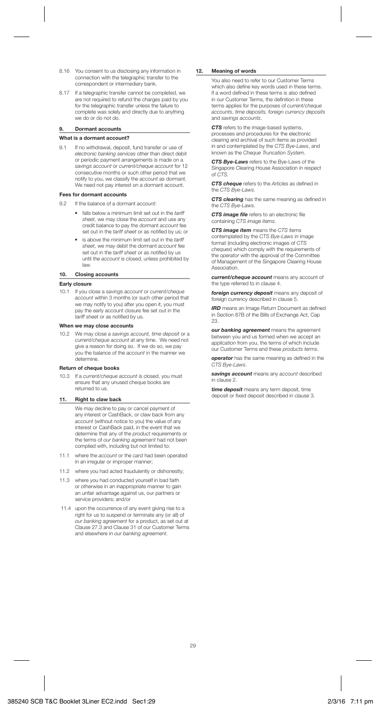- 8.16 You consent to us disclosing any information in connection with the telegraphic transfer to the correspondent or intermediary bank.
- 8.17 If a telegraphic transfer cannot be completed, we are not required to refund the charges paid by you for the telegraphic transfer unless the failure to complete was solely and directly due to anything we do or do not do.

#### **9. Dormant accounts**

## **What is a dormant account?**

9.1 If no withdrawal, deposit, fund transfer or use of electronic banking services other than direct debit or periodic payment arrangements is made on a savings account or current/cheque account for 12 consecutive months or such other period that we notify to you, we classify the account as dormant. We need not pay interest on a dormant account.

## **Fees for dormant accounts**

- 9.2 If the balance of a dormant account:
	- falls below a minimum limit set out in the tariff sheet, we may close the *account* and use any credit balance to pay the dormant *account* fee set out in the *tariff sheet* or as notified by us; or
	- is above the minimum limit set out in the tariff sheet, we may debit the dormant account fee set out in the tariff sheet or as notified by us until the account is closed, unless prohibited by law.

# **10. Closing accounts**

# **Early closure**

10.1 If you close a savings account or current/cheque account within 3 months (or such other period that we may notify to you) after you open it, you must pay the early account closure fee set out in the tariff sheet or as notified by us.

#### **When we may close accounts**

10.2 We may close a savings account, time deposit or a current/cheque account at any time. We need not give a reason for doing so. If we do so, we pay you the balance of the *account* in the manner we determine.

## **Return of cheque books**

10.3 If a current/cheque account is closed, you must ensure that any unused cheque books are returned to us.

#### **11. Right to claw back**

We may decline to pay or cancel payment of any interest or CashBack, or claw back from any account (without notice to you) the value of any interest or CashBack paid, in the event that we determine that any of the product requirements or the terms of our banking agreement had not been complied with, including but not limited to:

- 11.1 where the account or the card had been operated in an irregular or improper manner;
- 11.2 where you had acted fraudulently or dishonestly;
- 11.3 where you had conducted yourself in bad faith or otherwise in an inappropriate manner to gain an unfair advantage against us, our partners or service providers; and/or
- 11.4 upon the occurrence of any event giving rise to a right for us to suspend or terminate any (or all) of our banking agreement for a product, as set out at Clause 27.3 and Clause 31 of our Customer Terms and elsewhere in our banking agreement.

#### **12. Meaning of words**

 You also need to refer to our Customer Terms which also define key words used in these terms. If a word defined in these terms is also defined in our Customer Terms, the definition in these terms applies for the purposes of current/cheque accounts, time deposits, foreign currency deposits and savings accounts.

**CTS** refers to the image-based systems. processes and procedures for the electronic clearing and archival of such items as provided in and contemplated by the CTS Bye-Laws, and known as the Cheque Truncation System.

 *CTS Bye-Laws* refers to the Bye-Laws of the Singapore Clearing House Association in respect of CTS.

**CTS cheque** refers to the Articles as defined in the CTS Bye-Laws.

**CTS clearing** has the same meaning as defined in the CTS Bye-Laws.

**CTS image file** refers to an electronic file containing CTS image items.

 *CTS image item* means the CTS items contemplated by the CTS Bye-Laws in image format (including electronic images of CTS cheques) which comply with the requirements of the operator with the approval of the Committee of Management of the Singapore Clearing House Association.

 *current/cheque account* means any account of the type referred to in clause 4.

 *foreign currency deposit* means any deposit of foreign currency described in clause 5.

**IRD** means an Image Return Document as defined in Section 87B of the Bills of Exchange Act, Cap  $22.2$ 

 *our banking agreement* means the agreement between you and us formed when we accept an application from you, the terms of which include our Customer Terms and these products terms.

**operator** has the same meaning as defined in the CTS Bye-Laws.

 *savings account* means any account described in clause 2.

 *time deposit* means any term deposit, time deposit or fi xed deposit described in clause 3.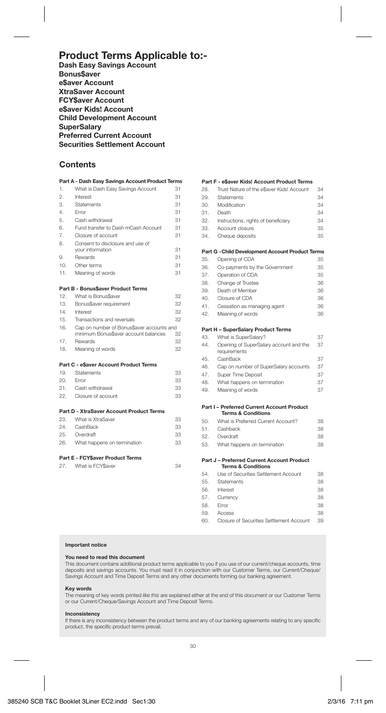# **Product Terms Applicable to:-**

**Dash Easy Savings Account Bonus\$aver e\$aver Account XtraSaver Account FCY\$aver Account e\$aver Kids! Account Child Development Account SuperSalary Preferred Current Account Securities Settlement Account**

# **Contents**

| Part A - Dash Easy Savings Account Product Terms |                                                      |    |
|--------------------------------------------------|------------------------------------------------------|----|
| 1.                                               | What is Dash Easy Savings Account                    | 31 |
| 2.                                               | Interest                                             | 31 |
| 3.                                               | Statements                                           | 31 |
| 4.                                               | Frror                                                | 31 |
| 5.                                               | Cash withdrawal                                      | 31 |
| 6.                                               | Fund transfer to Dash mCash Account                  | 31 |
| 7.                                               | Closure of account                                   | 31 |
| 8.                                               | Consent to disclosure and use of<br>your information | 31 |
| 9.                                               | Rewards                                              | 31 |
| 10.                                              | Other terms                                          | 31 |
| 11.                                              | Meaning of words                                     | 31 |
|                                                  | Part B - Bonus\$aver Product Terms                   |    |
| 12.                                              | What is Bonus\$aver                                  | 32 |
| 13.                                              | Bonus\$aver requirement                              | 32 |
| 14                                               | Interest                                             | 32 |
| 15.                                              | Transactions and reversals                           | 32 |
| 16.                                              | Cap on number of Bonus\$aver accounts and            |    |
|                                                  | minimum Bonus\$aver account balances                 | 32 |
| 17.                                              | Rewards                                              | 32 |
| 18.                                              | Meaning of words                                     | 32 |
|                                                  | <b>Part C - e\$aver Account Product Terms</b>        |    |
| 19.                                              | Statements                                           | 33 |
| 20.                                              | Frror                                                | 33 |
| 21.                                              | Cash withdrawal                                      | 33 |
| 22.                                              | Closure of account                                   | 33 |
|                                                  | Part D - XtraSaver Account Product Terms             |    |
| 23.                                              | What is XtraSaver                                    | 33 |
| 24.                                              | CashBack                                             | 33 |
| 25.                                              | Overdraft                                            | 33 |
| 26.                                              | What happens on termination                          | 33 |
|                                                  | <b>Part E - FCYSaver Product Terms</b>               |    |
| 27.                                              | What is FCY\$aver                                    | 34 |
|                                                  |                                                      |    |

#### **Part F - e\$aver Kids! Account Product Terms**

| 28. | Trust Nature of the e\$aver Kids! Account | 34 |
|-----|-------------------------------------------|----|
| 29. | Statements                                | 34 |
| 30. | Modification                              | 34 |
| 31. | Death                                     | 34 |
| 32. | Instructions, rights of beneficiary       | 34 |
| 33. | Account closure                           | 35 |
| 34. | Cheque deposits                           | 35 |

## **Part G - Child Development Account Product Terms**

| 35. | Opening of CDA                | 35 |
|-----|-------------------------------|----|
| 36. | Co-payments by the Government | 35 |
| 37. | Operation of CDA              | 35 |
| 38. | Change of Trustee             | 36 |
| 39. | Death of Member               | 36 |
| 40. | Closure of CDA                | 36 |
| 41. | Cessation as managing agent   | 36 |
| 42. | Meaning of words              | 36 |
|     |                               |    |

#### **Part H – SuperSalary Product Terms**

| 43. | What is SuperSalary?                                   | 37 |
|-----|--------------------------------------------------------|----|
| 44. | Opening of SuperSalary account and the<br>requirements | 37 |
| 45. | CashBack                                               | 37 |
| 46. | Cap on number of SuperSalary accounts                  | 37 |
| 47. | Super Time Deposit                                     | 37 |
| 48. | What happens on termination                            | 37 |
| 49. | Meaning of words                                       | 37 |

## **Part I – Preferred Current Account Product Terms & Conditions**

| 50. | What is Preferred Current Account? | 38 |
|-----|------------------------------------|----|
| 51. | Cashback                           | 38 |
| 52. | Overdraft                          | 38 |
| 53. | What happens on termination        | 38 |

# **Part J – Preferred Current Account Product**

|     | <b>Terms &amp; Conditions</b>            |    |
|-----|------------------------------------------|----|
| 54. | Use of Securities Settlement Account     | 38 |
| 55. | Statements                               | 38 |
| 56. | Interest                                 | 38 |
| 57. | Currency                                 | 38 |
| 58. | Frror                                    | 38 |
| 59. | Access                                   | 38 |
| 60. | Closure of Securities Settlement Account | 39 |
|     |                                          |    |

## **Important notice**

# **You need to read this document**

This document contains additional product terms applicable to you if you use of our current/cheque accounts, time deposits and savings accounts. You must read it in conjunction with our Customer Terms, our Current/Cheque/ Savings Account and Time Deposit Terms and any other documents forming our banking agreement.

#### **Key words**

The meaning of key words printed like this are explained either at the end of this document or our Customer Terms or our Current/Cheque/Savings Account and Time Deposit Terms.

## **Inconsistency**

If there is any inconsistency between the product terms and any of our banking agreements relating to any specific product, the specific product terms prevail.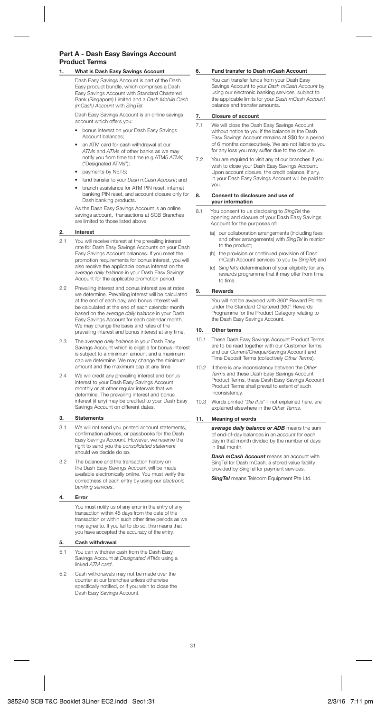# **Part A - Dash Easy Savings Account Product Terms**

## **1. What is Dash Easy Savings Account**

 Dash Easy Savings Account is part of the Dash Easy product bundle, which comprises a Dash Easy Savings Account with Standard Chartered Bank (Singapore) Limited and a Dash Mobile Cash (mCash) Account with SingTel.

 Dash Easy Savings Account is an online savings account which offers you:

- bonus interest on your Dash Easy Savings Account balances;
- an ATM card for cash withdrawal at our ATMs and ATMs of other banks as we may notify you from time to time (e.g ATM5 ATMs) ("Designated ATMs");
- payments by NETS;
- fund transfer to your Dash mCash Account; and
- branch assistance for ATM PIN reset, internet banking PIN reset, and account closure only for Dash banking products.

 As the Dash Easy Savings Account is an online savings account, transactions at SCB Branches are limited to those listed above.

## **2. Interest**

- 2.1 You will receive interest at the prevailing interest rate for Dash Easy Savings Accounts on your Dash Easy Savings Account balances. If you meet the promotion requirements for bonus interest, you will also receive the applicable bonus interest on the average daily balance in your Dash Easy Savings Account for the applicable promotion period.
- 2.2 Prevailing interest and bonus interest are at rates we determine. Prevailing interest will be calculated at the end of each day, and bonus interest will be calculated at the end of each calendar month based on the average daily balance in your Dash Easy Savings Account for each calendar month. We may change the basis and rates of the prevailing interest and bonus interest at any time.
- 2.3 The average daily balance in your Dash Easy Savings Account which is eligible for bonus interest is subject to a minimum amount and a maximum cap we determine. We may change the minimum amount and the maximum cap at any time.
- 2.4 We will credit any prevailing interest and bonus interest to your Dash Easy Savings Account monthly or at other regular intervals that we determine. The prevailing interest and bonus interest (if any) may be credited to your Dash Easy Savings Account on different dates.

## **3. Statements**

- 3.1 We will not send you printed account statements, confirmation advices, or passbooks for the Dash Easy Savings Account. However, we reserve the right to send you the consolidated statement should we decide do so.
- 3.2 The balance and the transaction history on the Dash Easy Savings Account will be made available electronically online. You must verify the correctness of each entry by using our electronic banking services.

## **4. Error**

 You must notify us of any error in the entry of any transaction within 45 days from the date of the transaction or within such other time periods as we may agree to. If you fail to do so, this means that you have accepted the accuracy of the entry.

## **5. Cash withdrawal**

- 5.1 You can withdraw cash from the Dash Easy Savings Account at Designated ATMs using a linked ATM card.
- 5.2 Cash withdrawals may not be made over the counter at our branches unless otherwise specifically notified, or if you wish to close the Dash Easy Savings Account.

## **6. Fund transfer to Dash mCash Account**

 You can transfer funds from your Dash Easy Savings Account to your Dash mCash Account by using our electronic banking services, subject to the applicable limits for your Dash mCash Account balance and transfer amounts.

## **7. Closure of account**

- 7.1 We will close the Dash Easy Savings Account without notice to you if the balance in the Dash Easy Savings Account remains at S\$0 for a period of 6 months consecutively. We are not liable to you for any loss you may suffer due to the closure.
- 7.2 You are required to visit any of our branches if you wish to close your Dash Easy Savings Account. Upon account closure, the credit balance, if any, in your Dash Easy Savings Account will be paid to you.

#### **8. Consent to disclosure and use of your information**

- 8.1 You consent to us disclosing to SingTel the opening and closure of your Dash Easy Savings Account for the purposes of:
	- (a) our collaboration arrangements (including fees and other arrangements) with SingTel in relation to the product;
	- (b) the provision or continued provision of Dash mCash Account services to you by SingTel; and
	- (c) SingTel's determination of your eligibility for any rewards programme that it may offer from time to time.

## **9. Rewards**

You will not be awarded with 360° Reward Points under the Standard Chartered 360° Rewards Programme for the Product Category relating to the Dash Easy Savings Account.

## **10. Other terms**

- 10.1 These Dash Easy Savings Account Product Terms are to be read together with our Customer Terms and our Current/Cheque/Savings Account and Time Deposit Terms (collectively Other Terms).
- 10.2 If there is any inconsistency between the Other Terms and these Dash Easy Savings Account Product Terms, these Dash Easy Savings Account Product Terms shall prevail to extent of such inconsistency.
- 10.3 Words printed "like this" if not explained here, are explained elsewhere in the Other Terms.

## **11. Meaning of words**

*average daily balance or ADB* means the sum of end-of-day balances in an account for each day in that month divided by the number of days in that month.

*Dash mCash Account* means an account with SingTel for Dash mCash, a stored value facility provided by SingTel for payment services.

**SingTel** means Telecom Equipment Pte Ltd.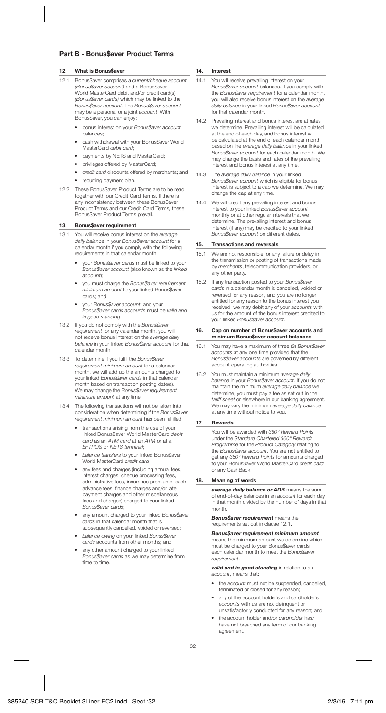# **Part B - Bonus\$aver Product Terms**

#### **12. What is Bonus\$aver**

- 12.1 Bonus\$aver comprises a current/cheque account (Bonus\$aver account) and a Bonus\$aver World MasterCard debit and/or credit card(s) (Bonus\$aver cards) which may be linked to the Bonus\$aver account. The Bonus\$aver account may be a personal or a joint *account*. With Bonus\$aver, you can enjoy:
	- bonus interest on your Bonus\$aver account balances;
	- cash withdrawal with your Bonus\$aver World MasterCard debit card;
	- payments by NETS and MasterCard;
	- privileges offered by MasterCard;
	- credit card discounts offered by merchants; and • recurring payment plan.
- 12.2 These Bonus\$aver Product Terms are to be read together with our Credit Card Terms. If there is any inconsistency between these Bonus\$aver Product Terms and our Credit Card Terms, these Bonus\$aver Product Terms prevail.

#### **13. Bonus\$aver requirement**

- 13.1 You will receive bonus interest on the average daily balance in your Bonus\$aver account for a calendar month if you comply with the following requirements in that calendar month:
	- your Bonus\$aver cards must be linked to your Bonus\$aver account (also known as the linked account);
	- you must charge the Bonus\$aver requirement minimum amount to your linked Bonus\$aver cards; and
	- your Bonus\$aver account, and your Bonus\$aver cards accounts must be valid and in good standing.
- 13.2 If you do not comply with the Bonus\$aver requirement for any calendar month, you will not receive bonus interest on the average daily balance in your linked Bonus\$aver account for that calendar month.
- 13.3 To determine if you fulfil the Bonus\$aver requirement minimum amount for a calendar month, we will add up the amounts charged to your linked Bonus\$aver cards in that calendar month based on transaction posting date(s). We may change the Bonus\$aver requirement minimum amount at any time.
- 13.4 The following transactions will not be taken into consideration when determining if the Bonus\$aver requirement minimum amount has been fulfilled:
	- transactions arising from the use of your linked Bonus\$aver World MasterCard debit card as an ATM card at an ATM or at a EFTPOS or NETS terminal;
	- balance transfers to your linked Bonus\$aver World MasterCard credit card;
	- any fees and charges (including annual fees, interest charges, cheque processing fees, administrative fees, insurance premiums, cash advance fees, finance charges and/or late payment charges and other miscellaneous fees and charges) charged to your linked Bonus\$aver cards;
	- any amount charged to your linked Bonus\$aver cards in that calendar month that is subsequently cancelled, voided or reversed;
	- balance owing on your linked Bonus\$aver cards accounts from other months; and
	- any other amount charged to your linked Bonus\$aver cards as we may determine from time to time.

#### **14. Interest**

- 14.1 You will receive prevailing interest on your Bonus\$aver account balances. If you comply with the Bonus\$aver requirement for a calendar month, you will also receive bonus interest on the average daily balance in your linked Bonus\$aver account for that calendar month.
- 14.2 Prevailing interest and bonus interest are at rates we determine. Prevailing interest will be calculated at the end of each day, and bonus interest will be calculated at the end of each calendar month based on the average daily balance in your linked Bonus\$aver account for each calendar month. We may change the basis and rates of the prevailing interest and bonus interest at any time.
- 14.3 The average daily balance in your linked Bonus\$aver account which is eligible for bonus interest is subject to a cap we determine. We may change the cap at any time.
- 14.4 We will credit any prevailing interest and bonus interest to your linked Bonus\$aver account monthly or at other regular intervals that we determine. The prevailing interest and bonus interest (if any) may be credited to your linked Bonus\$aver account on different dates.

#### **15. Transactions and reversals**

- 15.1 We are not responsible for any failure or delay in the transmission or posting of transactions made by merchants, telecommunication providers, or any other party.
- 15.2 If any transaction posted to your Bonus\$aver cards in a calendar month is cancelled, voided or reversed for any reason, and you are no longer entitled for any reason to the bonus interest you received, we may debit any of your accounts with us for the amount of the bonus interest credited to your linked Bonus\$aver account.

#### **16. Cap on number of Bonus\$aver accounts and minimum Bonus\$aver account balances**

- 16.1 You may have a maximum of three (3) Bonus\$aver accounts at any one time provided that the Bonus\$aver accounts are governed by different account operating authorities.
- 16.2 You must maintain a minimum average daily balance in your Bonus\$aver account. If you do not maintain the minimum average daily balance we determine, you must pay a fee as set out in the tariff sheet or elsewhere in our banking agreement. We may vary the minimum average daily balance at any time without notice to you.

#### **17. Rewards**

You will be awarded with 360° Reward Points under the Standard Chartered 360° Rewards Programme for the Product Category relating to the Bonus\$aver account. You are not entitled to get any 360° Reward Points for amounts charged to your Bonus\$aver World MasterCard credit card or any CashBack.

## **18. Meaning of words**

*average daily balance or ADB* means the sum of end-of-day balances in an account for each day in that month divided by the number of days in that month.

*Bonus\$aver requirement* means the requirements set out in clause 12.1.

#### *Bonus\$aver requirement minimum amount*

means the minimum amount we determine which must be charged to your Bonus\$aver cards each calendar month to meet the Bonus\$aver requirement.

 *valid and in good standing* in relation to an account, means that:

- the *account* must not be suspended, cancelled, terminated or closed for any reason;
- any of the account holder's and cardholder's accounts with us are not delinquent or unsatisfactorily conducted for any reason; and
- the account holder and/or cardholder has/ have not breached any term of our banking agreement.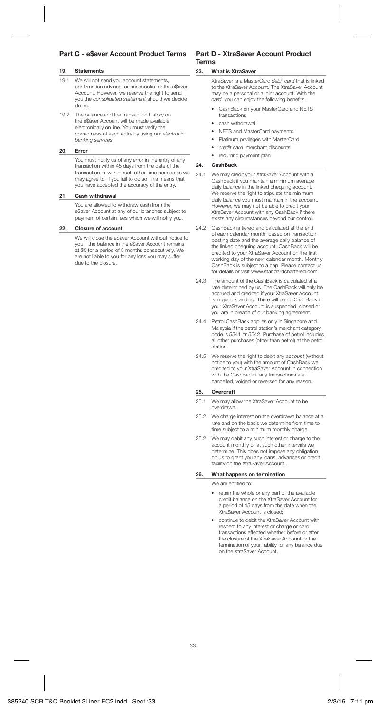# **Part C - e\$aver Account Product Terms**

#### **19. Statements**

- 19.1 We will not send you account statements, confirmation advices, or passbooks for the e\$aver Account. However, we reserve the right to send you the consolidated statement should we decide do so.
- 19.2 The balance and the transaction history on the e\$aver Account will be made available electronically on line. You must verify the correctness of each entry by using our electronic banking services.

## **20. Error**

 You must notify us of any error in the entry of any transaction within 45 days from the date of the transaction or within such other time periods as we may agree to. If you fail to do so, this means that you have accepted the accuracy of the entry.

## **21. Cash withdrawal**

 You are allowed to withdraw cash from the e\$aver Account at any of our branches subject to payment of certain fees which we will notify you.

## **22. Closure of account**

We will close the e\$aver Account without notice to you if the balance in the e\$aver Account remains at \$0 for a period of 5 months consecutively. We are not liable to you for any loss you may suffer due to the closure.

# **Part D - XtraSaver Account Product Terms**

#### **23. What is XtraSaver**

 XtraSaver is a MasterCard debit card that is linked to the XtraSaver Account. The XtraSaver Account may be a personal or a joint account. With the card, you can enjoy the following benefits

- CashBack on your MasterCard and NETS transactions
- cash withdrawal
- NETS and MasterCard payments
- Platinum privileges with MasterCard
- credit card merchant discounts
- recurring payment plan

## **24. CashBack**

- 24.1 We may credit your XtraSaver Account with a CashBack if you maintain a minimum average daily balance in the linked chequing account. We reserve the right to stipulate the minimum daily balance you must maintain in the account. However, we may not be able to credit your XtraSaver Account with any CashBack if there exists any circumstances beyond our control.
- 24.2 CashBack is tiered and calculated at the end of each calendar month, based on transaction posting date and the average daily balance of the linked chequing account. CashBack will be credited to your XtraSaver Account on the first working day of the next calendar month. Monthly CashBack is subject to a cap. Please contact us for details or visit www.standardchartered.com.
- 24.3 The amount of the CashBack is calculated at a rate determined by us. The CashBack will only be accrued and credited if your XtraSaver Account is in good standing. There will be no CashBack if your XtraSaver Account is suspended, closed or you are in breach of our banking agreement.
- 24.4 Petrol CashBack applies only in Singapore and Malaysia if the petrol station's merchant category code is 5541 or 5542. Purchase of petrol includes all other purchases (other than petrol) at the petrol station.
- 24.5 We reserve the right to debit any account (without notice to you) with the amount of CashBack we credited to your XtraSaver Account in connection with the CashBack if any transactions are cancelled, voided or reversed for any reason.

#### **25. Overdraft**

- 25.1 We may allow the XtraSaver Account to be overdrawn.
- 25.2 We charge interest on the overdrawn balance at a rate and on the basis we determine from time to time subject to a minimum monthly charge.
- 25.2 We may debit any such interest or charge to the account monthly or at such other intervals we determine. This does not impose any obligation on us to grant you any loans, advances or credit facility on the XtraSaver Account.

## **26. What happens on termination**

We are entitled to:

- retain the whole or any part of the available credit balance on the XtraSaver Account for a period of 45 days from the date when the XtraSaver Account is closed;
- continue to debit the XtraSaver Account with respect to any interest or charge or card transactions effected whether before or after the closure of the XtraSaver Account or the termination of your liability for any balance due on the XtraSaver Account.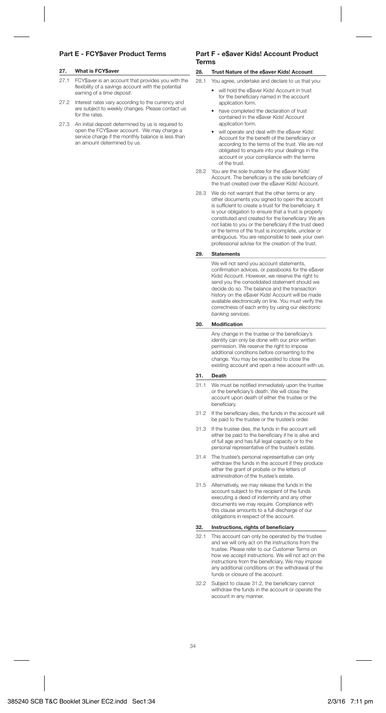# **Part E - FCY\$aver Product Terms**

## **27. What is FCY\$aver**

- 27.1 FCY\$aver is an account that provides you with the flexibility of a savings account with the potential earning of a time deposit.
- 27.2 Interest rates vary according to the currency and are subject to weekly changes. Please contact us for the rates.
- 27.3 An initial deposit determined by us is required to open the FCY\$aver account. We may charge a service charge if the monthly balance is less than an amount determined by us.

# **Part F - e\$aver Kids! Account Product Terms**

#### **28. Trust Nature of the e\$aver Kids! Account**

28.1 You agree, undertake and declare to us that you:

- will hold the e\$aver Kids! Account in trust for the beneficiary named in the account application form.
- have completed the declaration of trust contained in the e\$aver Kids! Account application form.
- will operate and deal with the e\$aver Kids! Account for the benefit of the beneficiary or according to the terms of the trust. We are not obligated to enquire into your dealings in the account or your compliance with the terms of the trust.
- 28.2 You are the sole trustee for the e\$aver Kids! Account. The beneficiary is the sole beneficiary of the trust created over the e\$aver Kids! Account.
- 28.3 We do not warrant that the other terms or any other documents you signed to open the account is sufficient to create a trust for the beneficiary. It is your obligation to ensure that a trust is properly constituted and created for the beneficiary. We are not liable to you or the beneficiary if the trust deed or the terms of the trust is incomplete, unclear or ambiguous. You are responsible to seek your own professional advise for the creation of the trust.

#### **29. Statements**

 We will not send you account statements, confirmation advices, or passbooks for the e\$aver Kids! Account. However, we reserve the right to send you the consolidated statement should we decide do so. The balance and the transaction history on the e\$aver Kids! Account will be made available electronically on line. You must verify the correctness of each entry by using our electronic banking services.

#### **30. Modifi cation**

Any change in the trustee or the beneficiary's identity can only be done with our prior written permission. We reserve the right to impose additional conditions before consenting to the change. You may be requested to close the existing account and open a new account with us.

## **31. Death**

- 31.1 We must be notified immediately upon the trustee or the beneficiary's death. We will close the account upon death of either the trustee or the beneficiary.
- 31.2 If the beneficiary dies, the funds in the account will be paid to the trustee or the trustee's order.
- 31.3 If the trustee dies, the funds in the account will either be paid to the beneficiary if he is alive and of full age and has full legal capacity or to the personal representative of the trustee's estate.
- 31.4 The trustee's personal representative can only withdraw the funds in the account if they produce either the grant of probate or the letters of administration of the trustee's estate.
- 31.5 Alternatively, we may release the funds in the account subject to the recipient of the funds executing a deed of indemnity and any other documents we may require. Compliance with this clause amounts to a full discharge of our obligations in respect of the account.

#### **32.** Instructions, rights of beneficiary

- 32.1 This account can only be operated by the trustee and we will only act on the instructions from the trustee. Please refer to our Customer Terms on how we accept instructions. We will not act on the instructions from the beneficiary. We may impose any additional conditions on the withdrawal of the funds or closure of the account.
- 32.2 Subject to clause 31.2, the beneficiary cannot withdraw the funds in the account or operate the account in any manner.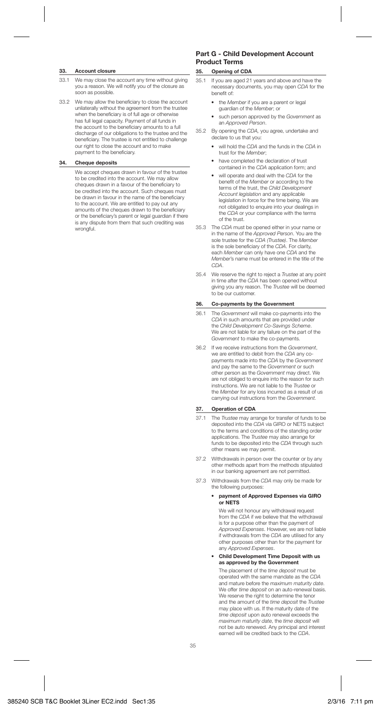## **33. Account closure**

- 33.1 We may close the account any time without giving you a reason. We will notify you of the closure as soon as possible.
- 33.2 We may allow the beneficiary to close the account unilaterally without the agreement from the trustee when the beneficiary is of full age or otherwise has full legal capacity. Payment of all funds in the account to the beneficiary amounts to a full discharge of our obligations to the trustee and the beneficiary. The trustee is not entitled to challenge our right to close the account and to make payment to the beneficiary.

## **34. Cheque deposits**

 We accept cheques drawn in favour of the trustee to be credited into the account. We may allow cheques drawn in a favour of the beneficiary to be credited into the account. Such cheques must be drawn in favour in the name of the beneficiary to the account. We are entitled to pay out any amounts of the cheques drawn to the beneficiary or the beneficiary's parent or legal guardian if there is any dispute from them that such crediting was wrongful.

# **Part G - Child Development Account Product Terms**

# **35. Opening of CDA**

- 35.1 If you are aged 21 years and above and have the necessary documents, you may open CDA for the benefit of
	- the Member if you are a parent or legal guardian of the Member; or
	- such person approved by the Government as an Approved Person.
- 35.2 By opening the CDA, you agree, undertake and declare to us that you:
	- will hold the CDA and the funds in the CDA in trust for the Member;
	- have completed the declaration of trust contained in the CDA application form; and
	- will operate and deal with the CDA for the benefit of the Member or according to the terms of the trust, the Child Development Account legislation and any applicable legislation in force for the time being. We are not obligated to enquire into your dealings in the CDA or your compliance with the terms of the trust.
- 35.3 The CDA must be opened either in your name or in the name of the Approved Person. You are the sole trustee for the CDA (Trustee). The Member is the sole beneficiary of the CDA. For clarity, each Member can only have one CDA and the Member's name must be entered in the title of the  $CDA$
- 35.4 We reserve the right to reject a Trustee at any point in time after the CDA has been opened without giving you any reason. The Trustee will be deemed to be our customer.

## **36. Co-payments by the Government**

- 36.1 The Government will make co-payments into the CDA in such amounts that are provided under the Child Development Co-Savings Scheme. We are not liable for any failure on the part of the Government to make the co-payments.
- 36.2 If we receive instructions from the Government we are entitled to debit from the CDA any copayments made into the CDA by the Government and pay the same to the Government or such other person as the Government may direct. We are not obliged to enquire into the reason for such instructions. We are not liable to the Trustee or the Member for any loss incurred as a result of us carrying out instructions from the Government.

# **37. Operation of CDA**

- 37.1 The Trustee may arrange for transfer of funds to be deposited into the CDA via GIRO or NETS subject to the terms and conditions of the standing order applications. The Trustee may also arrange for funds to be deposited into the CDA through such other means we may permit.
- 37.2 Withdrawals in person over the counter or by any other methods apart from the methods stipulated in our banking agreement are not permitted.
- 37.3 Withdrawals from the CDA may only be made for the following purposes:

## • **payment of Approved Expenses via GIRO or NETS**

 We will not honour any withdrawal request from the CDA if we believe that the withdrawal is for a purpose other than the payment of Approved Expenses. However, we are not liable if withdrawals from the CDA are utilised for any other purposes other than for the payment for any Approved Expenses.

• **Child Development Time Deposit with us as approved by the Government** 

The placement of the time deposit must be operated with the same mandate as the CDA and mature before the maximum maturity date We offer time deposit on an auto-renewal basis. We reserve the right to determine the tenor and the amount of the time deposit the Trustee may place with us. If the maturity date of the time deposit upon auto renewal exceeds the maximum maturity date, the time deposit will not be auto renewed. Any principal and interest earned will be credited back to the CDA.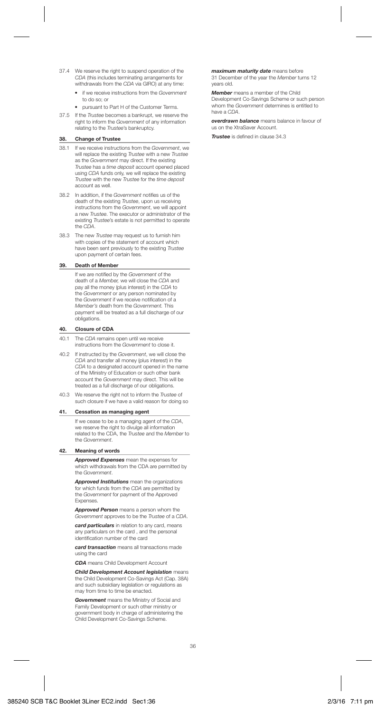- 37.4 We reserve the right to suspend operation of the CDA (this includes terminating arrangements for withdrawals from the CDA via GIRO) at any time:
	- if we receive instructions from the Government to do so; or
	- pursuant to Part H of the Customer Terms.
- 37.5 If the Trustee becomes a bankrupt, we reserve the right to inform the Government of any information relating to the Trustee's bankruptcy.

#### **38. Change of Trustee**

- 38.1 If we receive instructions from the Government, we will replace the existing Trustee with a new Trustee as the Government may direct. If the existing Trustee has a time deposit account opened placed using CDA funds only, we will replace the existing Trustee with the new Trustee for the time deposit account as well.
- 38.2 In addition, if the Government notifies us of the death of the existing Trustee, upon us receiving instructions from the Government, we will appoint a new Trustee. The executor or administrator of the existing Trustee's estate is not permitted to operate the CDA.
- 38.3 The new Trustee may request us to furnish him with copies of the statement of account which have been sent previously to the existing Trustee upon payment of certain fees.

#### **39. Death of Member**

If we are notified by the Government of the death of a Member, we will close the CDA and pay all the money (plus interest) in the CDA to the Government or any person nominated by the Government if we receive notification of a Member's death from the Government. This payment will be treated as a full discharge of our obligations.

#### **40. Closure of CDA**

- 40.1 The CDA remains open until we receive instructions from the Government to close it.
- 40.2 If instructed by the Government, we will close the CDA and transfer all money (plus interest) in the CDA to a designated account opened in the name of the Ministry of Education or such other bank account the Government may direct. This will be treated as a full discharge of our obligations.
- 40.3 We reserve the right not to inform the Trustee of such closure if we have a valid reason for doing so

## **41. Cessation as managing agent**

If we cease to be a managing agent of the CDA, we reserve the right to divulge all information related to the CDA, the Trustee and the Member to the Government.

#### **42. Meaning of words**

 *Approved Expenses* mean the expenses for which withdrawals from the CDA are permitted by the Government.

 *Approved Institutions* mean the organizations for which funds from the CDA are permitted by the Government for payment of the Approved Expenses.

 *Approved Person* means a person whom the Government approves to be the Trustee of a CDA.

 *card particulars* in relation to any card, means any particulars on the card , and the personal identification number of the card

 *card transaction* means all transactions made using the card

**CDA** means Child Development Account

 *Child Development Account legislation* means the Child Development Co-Savings Act (Cap. 38A) and such subsidiary legislation or regulations as may from time to time be enacted.

 *Government* means the Ministry of Social and Family Development or such other ministry or government body in charge of administering the Child Development Co-Savings Scheme.

 *maximum maturity date* means before 31 December of the year the Member turns 12 years old.

 *Member* means a member of the Child Development Co-Savings Scheme or such person whom the Government determines is entitled to have a CDA.

 *overdrawn balance* means balance in favour of us on the XtraSaver Account.

*Trustee* is defined in clause 34.3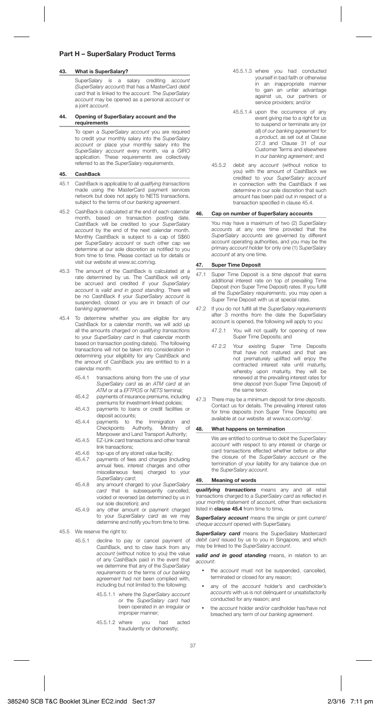# **Part H – SuperSalary Product Terms**

#### **43. What is SuperSalary?**

SuperSalary is a salary crediting account (SuperSalary account) that has a MasterCard debit card that is linked to the account. The SuperSalary account may be opened as a personal account or a joint account.

## **44. Opening of SuperSalary account and the requirements**

To open a SuperSalary account you are required to credit your monthly salary into the SuperSalary account or place your monthly salary into the SuperSalary account every month, via a GIRO application. These requirements are collectively referred to as the SuperSalary requirements.

## **45. CashBack**

- 45.1 CashBack is applicable to all qualifying transactions made using the MasterCard payment services network but does not apply to NETS transactions, subject to the terms of our banking agreement.
- 45.2 CashBack is calculated at the end of each calendar month, based on transaction posting date. CashBack will be credited to your SuperSalary account by the end of the next calendar month. Monthly CashBack is subject to a cap of S\$60 per SuperSalary account or such other cap we determine at our sole discretion as notified to you from time to time. Please contact us for details or visit our website at www.sc.com/sg.
- 45.3 The amount of the CashBack is calculated at a rate determined by us. The CashBack will only be accrued and credited if your SuperSalary account is valid and in good standing. There will be no CashBack if your SuperSalary account is suspended, closed or you are in breach of our banking agreement.
- 45.4 To determine whether you are eligible for any CashBack for a calendar month, we will add up all the amounts charged on qualifying transactions to your SuperSalary card in that calendar month based on transaction posting date(s). The following transactions will not be taken into consideration in determining your eligibility for any CashBack and the amount of CashBack you are entitled to in a calendar month:
	- 45.4.1 transactions arising from the use of your SuperSalary card as an ATM card at an ATM or at a *EFTPOS* or NETS terminal:
	- 45.4.2 payments of insurance premiums, including premiums for investment-linked policies;
	- 45.4.3 payments to loans or credit facilities or deposit accounts;
	- 45.4.4 payments to the Immigration and Checkpoints Authority, Ministry of Manpower and Land Transport Authority;
	- 45.4.5 EZ-Link card transactions and other transit link transactions;
	- 45.4.6 top-ups of any stored value facility;<br>45.4.7 payments of fees and charges (in
	- payments of fees and charges (including annual fees, interest charges and other miscellaneous fees) charged to your SuperSalary card;
	- 45.4.8 any amount charged to your SuperSalary card that is subsequently cancelled, voided or reversed (as determined by us in our sole discretion); and
	- 45.4.9 any other amount or payment charged to your SuperSalary card as we may determine and notify you from time to time.
- 45.5 We reserve the right to:
	- 45.5.1 decline to pay or cancel payment of CashBack, and to claw back from any account (without notice to you) the value of any CashBack paid in the event that we determine that any of the SuperSalary requirements or the terms of our banking agreement had not been complied with, including but not limited to the following:
		- 45.5.1.1 where the SuperSalary account or the SuperSalary card had been operated in an irregular or improper manner;
		- 45.5.1.2 where you had acted fraudulently or dishonestly;
- 45.5.1.3 where you had conducted yourself in bad faith or otherwise in an inappropriate manner to gain an unfair advantage against us, our partners or service providers; and/or
- 45.5.1.4 upon the occurrence of any event giving rise to a right for us to suspend or terminate any (or all) of our banking agreement for a *product*, as set out at Clause 27.3 and Clause 31 of our Customer Terms and elsewhere in our banking agreement; and
- 45.5.2 debit any account (without notice to you) with the amount of CashBack we credited to your SuperSalary account in connection with the CashBack if we determine in our sole discretion that such amount has been paid out in respect of a transaction specified in clause 45.4.

# **46. Cap on number of SuperSalary accounts**

You may have a maximum of two (2) SuperSalary accounts at any one time provided that the SuperSalary accounts are governed by different account operating authorities, and you may be the primary account holder for only one (1) SuperSalary account at any one time.

#### **47. Super Time Deposit**

- 47.1 Super Time Deposit is a time deposit that earns additional interest rate on top of prevailing Time Deposit (non Super Time Deposit) rates. If you fulfill all the SuperSalary requirements, you may open a Super Time Deposit with us at special rates.
- 47.2 If you do not fulfill all the SuperSalary requirements after 3 months from the date the SuperSalary account is opened, the following will apply to you:
	- 47.2.1 You will not qualify for opening of new Super Time Deposits; and
	- 47.2.2 Your existing Super Time Deposits that have not matured and that are not prematurely uplifted will enjoy the contracted interest rate until maturity, whereby upon maturity, they will be renewed at the prevailing interest rates for time deposit (non Super Time Deposit) of the same tenor.
- 47.3 There may be a minimum deposit for time deposits. Contact us for details. The prevailing interest rates for time deposits (non Super Time Deposits) are available at our website at www.sc.com/sg/.

## **48. What happens on termination**

We are entitled to continue to debit the SuperSalary account with respect to any interest or charge or card transactions effected whether before or after the closure of the SuperSalary account or the termination of your liability for any balance due on the SuperSalary account.

## **49. Meaning of words**

*qualifying transactions* means any and all retail transactions charged to a SuperSalary card as reflected in your monthly statement of account, other than exclusions listed in **clause 45.4** from time to time**.** 

**SuperSalary account** means the single or joint current/ cheque account opened with SuperSalary.

**SuperSalary card** means the SuperSalary Mastercard debit card issued by us to you in Singapore, and which may be linked to the SuperSalary account.

*valid and in good standing* means, in relation to an account:

- the *account* must not be suspended, cancelled, terminated or closed for any reason;
- any of the account holder's and cardholder's accounts with us is not delinquent or unsatisfactorily conducted for any reason; and
- the account holder and/or cardholder has/have not breached any term of our banking agreement.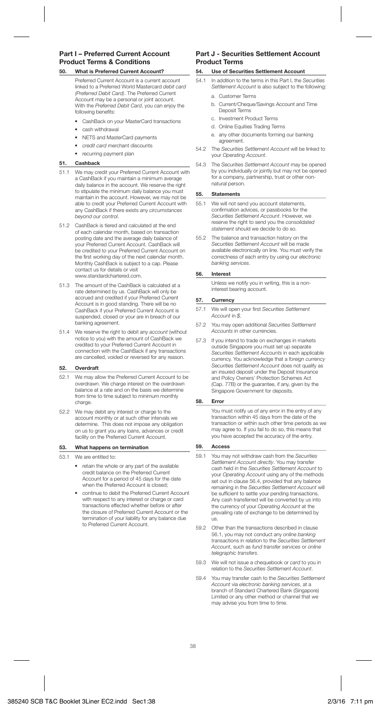# **Part I – Preferred Current Account Product Terms & Conditions**

## **50. What is Preferred Current Account?**

- Preferred Current Account is a current account linked to a Preferred World Mastercard debit card (Preferred Debit Card). The Preferred Current Account may be a personal or joint account. With the Preferred Debit Card, you can enjoy the following benefits:
	- CashBack on your MasterCard transactions
	- cash withdrawal
	- NETS and MasterCard payments
	- credit card merchant discounts
	- recurring payment plan

## **51. Cashback**

- 51.1 We may credit your Preferred Current Account with a CashBack if you maintain a minimum average daily balance in the account. We reserve the right to stipulate the minimum daily balance you must maintain in the account. However, we may not be able to credit your Preferred Current Account with any CashBack if there exists any circumstances beyond our control.
- 51.2 CashBack is tiered and calculated at the end of each calendar month, based on transaction posting date and the average daily balance of your Preferred Current Account. CashBack will be credited to your Preferred Current Account on the first working day of the next calendar month. Monthly CashBack is subject to a cap. Please contact us for details or visit www.standardchartered.com.
- 51.3 The amount of the CashBack is calculated at a rate determined by us. CashBack will only be accrued and credited if your Preferred Current Account is in good standing. There will be no CashBack if your Preferred Current Account is suspended, closed or your are in breach of our banking agreement.
- 51.4 We reserve the right to debit any account (without notice to you) with the amount of CashBack we credited to your Preferred Current Account in connection with the CashBack if any transactions are cancelled, voided or reversed for any reason.

## **52. Overdraft**

- 52.1 We may allow the Preferred Current Account to be overdrawn. We charge interest on the overdrawn balance at a rate and on the basis we determine from time to time subject to minimum monthly charge.
- 52.2 We may debit any interest or charge to the account monthly or at such other intervals we determine. This does not impose any obligation on us to grant you any loans, advances or credit facility on the Preferred Current Account.

## **53. What happens on termination**

- 53.1 We are entitled to:
	- retain the whole or any part of the available credit balance on the Preferred Current Account for a period of 45 days for the date when the Preferred Account is closed;
	- continue to debit the Preferred Current Account with respect to any interest or charge or card transactions effected whether before or after the closure of Preferred Current Account or the termination of your liability for any balance due to Preferred Current Account

# **Part J - Securities Settlement Account Product Terms**

## **54. Use of Securities Settlement Account**

54.1 In addition to the terms in this Part I, the Securities Settlement Account is also subject to the following:

- a. Customer Terms
- b. Current/Cheque/Savings Account and Time Deposit Terms
- c. Investment Product Terms
- d. Online Equities Trading Terms
- e. any other documents forming our banking agreement.
- 54.2 The Securities Settlement Account will be linked to your Operating Account.
- 54.3 The Securities Settlement Account may be opened by you individually or jointly but may not be opened for a company, partnership, trust or other nonnatural person.

## **55. Statements**

- 55.1 We will not send you account statements, confirmation advices, or passbooks for the Securities Settlement Account. However, we reserve the right to send you the consolidated statement should we decide to do so.
- 55.2 The balance and transaction history on the Securities Settlement Account will be made available electronically on line. You must verify the correctness of each entry by using our electronic banking services.

## **56. Interest**

Unless we notify you in writing, this is a noninterest bearing account.

## **57. Currency**

- 57.1 We will open your first Securities Settlement Account in \$.
- 57.2 You may open additional Securities Settlement Accounts in other currencies.
- 57.3 If you intend to trade on exchanges in markets outside Singapore you must set up separate Securities Settlement Accounts in each applicable currency. You acknowledge that a foreign currency Securities Settlement Account does not qualify as an insured deposit under the Deposit Insurance and Policy Owners' Protection Schemes Act (Cap. 77B) or the guarantee, if any, given by the Singapore Government for deposits.

#### **58. Error**

You must notify us of any error in the entry of any transaction within 45 days from the date of the transaction or within such other time periods as we may agree to. If you fail to do so, this means that you have accepted the accuracy of the entry.

## **59. Access**

- 59.1 You may not withdraw cash from the Securities Settlement Account directly. You may transfer cash held in the Securities Settlement Account to your Operating Account using any of the methods set out in clause 56.4, provided that any balance remaining in the Securities Settlement Account will be sufficient to settle your pending transactions. Any cash transferred will be converted by us into the currency of your Operating Account at the prevailing rate of exchange to be determined by us.
- 59.2 Other than the transactions described in clause 56.1, you may not conduct any online banking transactions in relation to the Securities Settlement Account, such as fund transfer services or online telegraphic transfers.
- 59.3 We will not issue a chequebook or card to you in relation to the Securities Settlement Account.
- 59.4 You may transfer cash to the Securities Settlement Account via electronic banking services, at a branch of Standard Chartered Bank (Singapore) Limited or any other method or channel that we may advise you from time to time.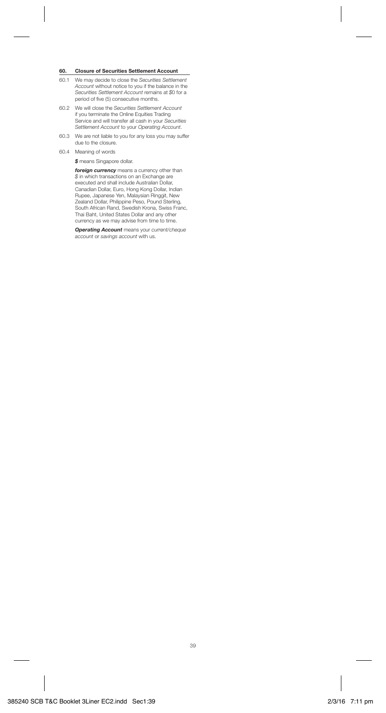## **60. Closure of Securities Settlement Account**

- 60.1 We may decide to close the Securities Settlement Account without notice to you if the balance in the Securities Settlement Account remains at \$0 for a period of five (5) consecutive months.
- 60.2 We will close the Securities Settlement Account if you terminate the Online Equities Trading Service and will transfer all cash in your Securities Settlement Account to your Operating Account.
- 60.3 We are not liable to you for any loss you may suffer due to the closure.
- 60.4 Meaning of words

*\$* means Singapore dollar.

*foreign currency* means a currency other than \$ in which transactions on an Exchange are executed and shall include Australian Dollar, Canadian Dollar, Euro, Hong Kong Dollar, Indian Rupee, Japanese Yen, Malaysian Ringgit, New Zealand Dollar, Philippine Peso, Pound Sterling, South African Rand, Swedish Krona, Swiss Franc, Thai Baht, United States Dollar and any other currency as we may advise from time to time.

*Operating Account* means your current/cheque account or savings account with us.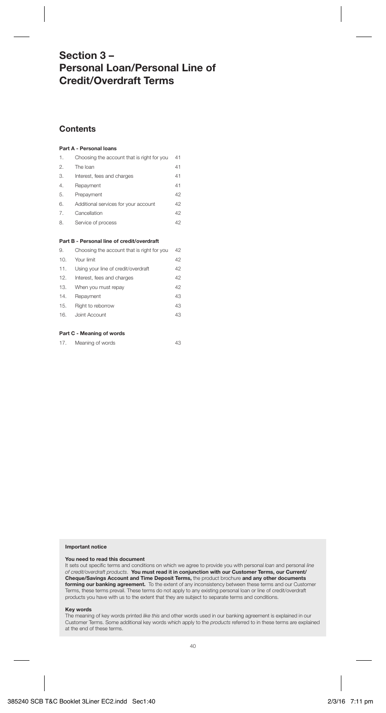# **Section 3 – Personal Loan/Personal Line of Credit/Overdraft Terms**

# **Contents**

## **Part A - Personal loans**

| 1.               | Choosing the account that is right for you | 41 |
|------------------|--------------------------------------------|----|
| $\mathfrak{D}$ . | The loan                                   | 41 |
| 3.               | Interest, fees and charges                 | 41 |
| $\mathbf{4}$     | Repayment                                  | 41 |
| 5.               | Prepayment                                 | 42 |
| 6.               | Additional services for your account       | 42 |
| 7.               | Cancellation                               | 42 |
| 8.               | Service of process                         | 42 |
|                  |                                            |    |

## **Part B - Personal line of credit/overdraft**

| 9.  | Choosing the account that is right for you | 42 |
|-----|--------------------------------------------|----|
| 10. | Your limit                                 | 42 |
| 11. | Using your line of credit/overdraft        | 42 |
| 12. | Interest, fees and charges                 | 42 |
| 13. | When you must repay                        | 42 |
| 14. | Repayment                                  | 43 |
| 15. | Right to reborrow                          | 43 |
| 16. | Joint Account                              | 43 |
|     |                                            |    |

# **Part C - Meaning of words**

| 17. | Meaning of words |  |
|-----|------------------|--|
|-----|------------------|--|

## **Important notice**

## **You need to read this document**

It sets out specific terms and conditions on which we agree to provide you with personal loan and personal line o*f credit/overdraft products*. **You must read it in conjunction with our Customer Terms, our Current/**<br>**Cheque/Savings Account and Time Deposit Terms,** the product brochure and any other documents<br>f**orming our banking a** Terms, these terms prevail. These terms do not apply to any existing personal loan or line of credit/overdraft products you have with us to the extent that they are subject to separate terms and conditions.

### **Key words**

The meaning of key words printed like this and other words used in our banking agreement is explained in our Customer Terms. Some additional key words which apply to the products referred to in these terms are explained at the end of these terms.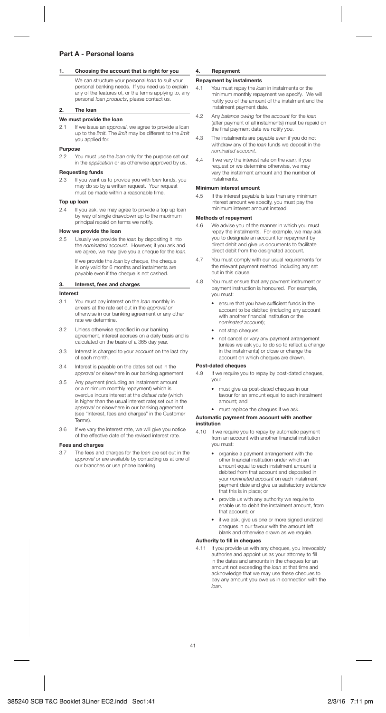# **Part A - Personal loans**

## **1. Choosing the account that is right for you**

We can structure your personal loan to suit your personal banking needs. If you need us to explain any of the features of, or the terms applying to, any personal loan products, please contact us.

## **2. The loan**

## **We must provide the loan**

2.1 If we issue an approval, we agree to provide a loan If we issue an approval, the agree to presence in the limit. you applied for.

## **Purpose**

2.2 You must use the loan only for the purpose set out in the application or as otherwise approved by us.

# **Requesting funds**

2.3 If you want us to provide you with loan funds, you may do so by a written request. Your request must be made within a reasonable time.

## **Top up loan**

2.4 If you ask, we may agree to provide a top up loan by way of single drawdown up to the maximum principal repaid on terms we notify.

# **How we provide the loan**

2.5 Usually we provide the loan by depositing it into the nominated account. However, if you ask and we agree, we may give you a cheque for the loan.

> If we provide the loan by cheque, the cheque is only valid for 6 months and instalments are payable even if the cheque is not cashed.

## **3. Interest, fees and charges**

# **Interest**

- You must pay interest on the loan monthly in arrears at the rate set out in the approval or otherwise in our banking agreement or any other rate we determine.
- 3.2 Unless otherwise specified in our banking agreement, interest accrues on a daily basis and is calculated on the basis of a 365 day year.
- 3.3 Interest is charged to your account on the last day of each month.
- 3.4 Interest is payable on the dates set out in the approval or elsewhere in our banking agreement.
- 3.5 Any payment (including an instalment amount or a minimum monthly repayment) which is overdue incurs interest at the default rate (which is higher than the usual interest rate) set out in the approval or elsewhere in our banking agreement (see "Interest, fees and charges" in the Customer Terms).
- 3.6 If we vary the interest rate, we will give you notice of the effective date of the revised interest rate.

## **Fees and charges**

3.7 The fees and charges for the loan are set out in the approval or are available by contacting us at one of our branches or use phone banking.

## **4. Repayment**

# **Repayment by instalments**

- 4.1 You must repay the loan in instalments or the minimum monthly repayment we specify. We will notify you of the amount of the instalment and the instalment payment date.
- 4.2 Any balance owing for the account for the loan (after payment of all instalments) must be repaid on the final payment date we notify you.
- 4.3 The instalments are payable even if you do not withdraw any of the loan funds we deposit in the nominated account.
- 4.4 If we vary the interest rate on the *loan*, if you request or we determine otherwise, we may vary the instalment amount and the number of instalments.

## **Minimum interest amount**

4.5 If the interest payable is less than any minimum interest amount we specify, you must pay the minimum interest amount instead.

# **Methods of repayment**

- 4.6 We advise you of the manner in which you must repay the instalments. For example, we may ask you to designate an account for repayment by direct debit and give us documents to facilitate direct debit from the designated account.
- 4.7 You must comply with our usual requirements for the relevant payment method, including any set out in this clause.
- 4.8 You must ensure that any payment instrument or payment instruction is honoured. For example, you must:
	- ensure that you have sufficient funds in the account to be debited (including any account with another financial institution or the nominated account);
	- not stop cheques;
	- not cancel or vary any payment arrangement (unless we ask you to do so to reflect a change in the instalments) or close or change the account on which cheques are drawn.

# **Post-dated cheques**

- 4.9 If we require you to repay by post-dated cheques, you:
	- must give us post-dated cheques in our favour for an amount equal to each instalment amount; and
	- must replace the cheques if we ask.

### **Automatic payment from account with another institution**

- 4.10 If we require you to repay by automatic payment from an account with another financial institution you must:
	- organise a payment arrangement with the other financial institution under which an amount equal to each instalment amount is debited from that account and deposited in your nominated account on each instalment payment date and give us satisfactory evidence that this is in place; or
	- provide us with any authority we require to enable us to debit the instalment amount, from that account; or
	- if we ask, give us one or more signed undated cheques in our favour with the amount left blank and otherwise drawn as we require.

## **Authority to fill in cheques**

4.11 If you provide us with any cheques, you irrevocably authorise and appoint us as your attorney to fill in the dates and amounts in the cheques for an amount not exceeding the loan at that time and acknowledge that we may use these cheques to pay any amount you owe us in connection with the loan.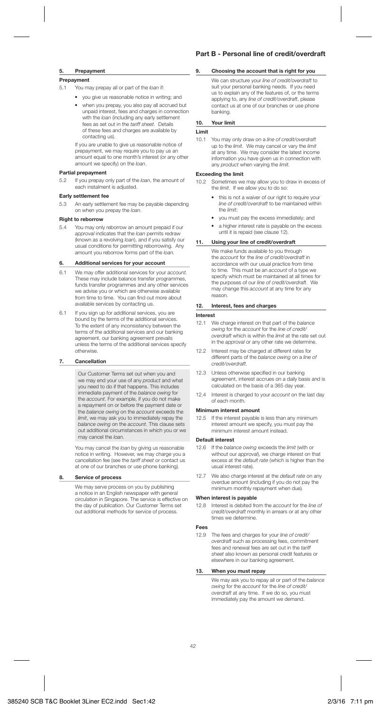# **Part B - Personal line of credit/overdraft**

## **5. Prepayment**

## **Prepayment**

5.1 You may prepay all or part of the loan if:

- you give us reasonable notice in writing; and
	- when you prepay, you also pay all accrued but unpaid interest, fees and charges in connection with the *loan* (including any early settlement fees as set out in the tariff sheet. Details of these fees and charges are available by contacting us).

 If you are unable to give us reasonable notice of prepayment, we may require you to pay us an amount equal to one month's interest (or any other amount we specify) on the loan.

## **Partial prepayment**

5.2 If you prepay only part of the loan, the amount of each instalment is adjusted.

# **Early settlement fee**

5.3 An early settlement fee may be payable depending on when you prepay the loan.

## **Right to reborrow**

5.4 You may only reborrow an amount prepaid if our approval indicates that the loan permits redraw (known as a revolving loan), and if you satisfy our usual conditions for permitting reborrowing. Any amount you reborrow forms part of the loan.

### **6. Additional services for your account**

- 6.1 We may offer additional services for your account. These may include balance transfer programmes, funds transfer programmes and any other services we advise you or which are otherwise available from time to time. You can find out more about available services by contacting us.
- 6.1 If you sign up for additional services, you are bound by the terms of the additional services. To the extent of any inconsistency between the terms of the additional services and our banking agreement, our banking agreement prevails unless the terms of the additional services specify otherwise.

## **7. Cancellation**

Our Customer Terms set out when you and we may end your use of any product and what you need to do if that happens. This includes immediate payment of the balance owing for the account. For example, if you do not make a repayment on or before the payment date or the balance owing on the account exceeds the limit, we may ask you to immediately repay the balance owing on the account. This clause sets out additional circumstances in which you or we may cancel the *loan*.

You may cancel the loan by giving us reasonable notice in writing. However, we may charge you a cancellation fee (see the tariff sheet or contact us at one of our branches or use phone banking).

#### **8. Service of process**

 We may serve process on you by publishing a notice in an English newspaper with general circulation in Singapore. The service is effective on the day of publication. Our Customer Terms set out additional methods for service of process.

# **9. Choosing the account that is right for you**

 We can structure your line of credit/overdraft to suit your personal banking needs. If you need us to explain any of the features of, or the terms applying to, any line of credit/overdraft, please contact us at one of our branches or use phone banking.

## **10. Your limit**

## **Limit**

10.1 You may only draw on a line of credit/overdraft up to the limit. We may cancel or vary the limit at any time. We may consider the latest income information you have given us in connection with any product when varying the limit.

#### **Exceeding the limit**

- 10.2 Sometimes we may allow you to draw in excess of the *limit*. If we allow you to do so:
	- this is not a waiver of our right to require your line of credit/overdraft to be maintained within the limit;
	- you must pay the excess immediately; and
	- a higher interest rate is payable on the excess until it is repaid (see clause 12).

## **11. Using your line of credit/overdraft**

 We make funds available to you through the account for the line of credit/overdraft in accordance with our usual practice from time to time. This must be an account of a type we specify which must be maintained at all times for the purposes of our line of credit/overdraft. We may change this *account* at any time for any reason.

## **12. Interest, fees and charges**

#### **Interest**

- 12.1 We charge interest on that part of the balance owing for the account for the line of credit/ overdraft which is within the limit at the rate set out in the approval or any other rate we determine.
- 12.2 Interest may be charged at different rates for different parts of the balance owing on a line of credit/overdraft.
- 12.3 Unless otherwise specified in our banking agreement, interest accrues on a daily basis and is calculated on the basis of a 365 day year.
- 12.4 Interest is charged to your account on the last day of each month.

#### **Minimum interest amount**

12.5 If the interest payable is less than any minimum interest amount we specify, you must pay the minimum interest amount instead.

## **Default interest**

- 12.6 If the balance owing exceeds the limit (with or without our approval), we charge interest on that excess at the default rate (which is higher than the usual interest rate).
- 12.7 We also charge interest at the *default rate* on any overdue amount (including if you do not pay the minimum monthly repayment when due).

## **When interest is payable**

12.8 Interest is debited from the account for the line of credit/overdraft monthly in arrears or at any other times we determine.

## **Fees**

12.9 The fees and charges for your line of credit/ overdraft such as processing fees, commitment fees and renewal fees are set out in the tariff sheet also known as personal credit features or elsewhere in our banking agreement.

## **13. When you must repay**

 We may ask you to repay all or part of the balance owing for the account for the line of credit/ overdraft at any time. If we do so, you must immediately pay the amount we demand.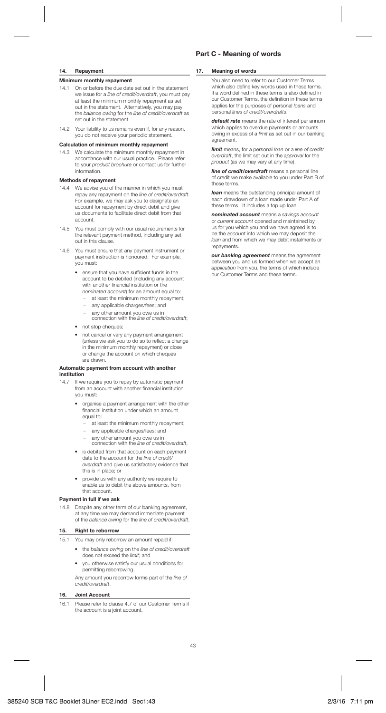# **Part C - Meaning of words**

## **14. Repayment**

#### **Minimum monthly repayment**

- 14.1 On or before the due date set out in the statement we issue for a line of credit/overdraft, you must pay at least the minimum monthly repayment as set out in the statement. Alternatively, you may pay the balance owing for the line of credit/overdraft as set out in the statement.
- 14.2 Your liability to us remains even if, for any reason, you do not receive your periodic statement.

#### **Calculation of minimum monthly repayment**

14.3 We calculate the minimum monthly repayment in accordance with our usual practice. Please refer to your product brochure or contact us for further information.

## **Methods of repayment**

- 14.4 We advise you of the manner in which you must repay any repayment on the line of credit/overdraft. For example, we may ask you to designate an account for repayment by direct debit and give us documents to facilitate direct debit from that account.
- 14.5 You must comply with our usual requirements for the relevant payment method, including any set out in this clause.
- 14.6 You must ensure that any payment instrument or payment instruction is honoured. For example, you must:
	- ensure that you have sufficient funds in the account to be debited (including any account with another financial institution or the nominated account) for an amount equal to:
		- at least the minimum monthly repayment;
		- any applicable charges/fees; and
		- any other amount you owe us in connection with the line of credit/overdraft;
	- not stop cheques;
	- not cancel or vary any payment arrangement (unless we ask you to do so to reflect a change in the minimum monthly repayment) or close or change the account on which cheques are drawn.

## **Automatic payment from account with another institution**

- 14.7 If we require you to repay by automatic payment from an account with another financial institution you must:
	- organise a payment arrangement with the other financial institution under which an amount equal to:
		- at least the minimum monthly repayment;
		- any applicable charges/fees; and
		- any other amount you owe us in connection with the line of credit/overdraft,
	- is debited from that account on each payment date to the account for the line of credit overdraft and give us satisfactory evidence that this is in place; or
	- provide us with any authority we require to enable us to debit the above amounts, from that account.

#### **Payment in full if we ask**

14.8 Despite any other term of our banking agreement, at any time we may demand immediate payment of the balance owing for the line of credit/overdraft.

## **15. Right to reborrow**

- You may only reborrow an amount repaid if:
	- the balance owing on the line of credit/overdraft does not exceed the limit; and
	- you otherwise satisfy our usual conditions for permitting reborrowing.

 Any amount you reborrow forms part of the line of credit/overdraft.

## **16. Joint Account**

16.1 Please refer to clause 4.7 of our Customer Terms if the account is a joint account.

## **17. Meaning of words**

 You also need to refer to our Customer Terms which also define key words used in these terms. If a word defined in these terms is also defined in our Customer Terms, the definition in these terms applies for the purposes of personal loans and personal lines of credit/overdrafts.

 *default rate* means the rate of interest per annum which applies to overdue payments or amounts owing in excess of a limit as set out in our banking agreement.

*limit* means, for a personal loan or a line of credit/ overdraft, the limit set out in the approval for the product (as we may vary at any time).

 *line of credit/overdraft* means a personal line of credit we make available to you under Part B of these terms.

*loan* means the outstanding principal amount of each drawdown of a loan made under Part A of these terms. It includes a top up loan.

 *nominated account* means a savings account or current account opened and maintained by us for you which you and we have agreed is to be the account into which we may deposit the loan and from which we may debit instalments or repayments.

 *our banking agreement* means the agreement between you and us formed when we accept an application from you, the terms of which include our Customer Terms and these terms.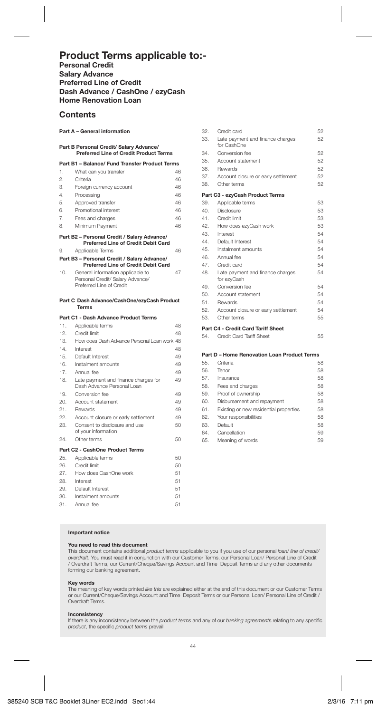# **Product Terms applicable to:-**

**Personal Credit Salary Advance Preferred Line of Credit Dash Advance / CashOne / ezyCash Home Renovation Loan**

# **Contents**

## **Part A – General information**

## **Part B Personal Credit/ Salary Advance/ Preferred Line of Credit Product Terms Part B1 – Balance/ Fund Transfer Product Terms** 1. What can you transfer 46<br>2 Critoria 46 2. Criteria 46 3. Foreign currency account 46<br>46 Processing 46 Processing 46<br>Annroved transfer 46 5. Approved transfer 6. Promotional interest 46 7. Fees and charges 46 8. Minimum Payment 46 **Part B2 – Personal Credit / Salary Advance/ Preferred Line of Credit Debit Card** 9. Applicable Terms 46 **Part B3 – Personal Credit / Salary Advance/ Preferred Line of Credit Debit Card** 10. General information applicable to  $47$  Personal Credit/ Salary Advance/ Preferred Line of Credit **Part C Dash Advance/CashOne/ezyCash Product Terms Part C1 - Dash Advance Product Terms** 11. Applicable terms 48 12. Credit limit 48 13. How does Dash Advance Personal Loan work 48 14. Interest 48 15. Default Interest 49 16. Instalment amounts 49 17 Annual fee 49 18. Late payment and finance charges for 49 Dash Advance Personal Loan 19. Conversion fee 49 20. Account statement 49<br>21 Bewerds 49 Rewards 22. Account closure or early settlement 49 23. Consent to disclosure and use 50 of your information 24. Other terms 50 **Part C2 - CashOne Product Terms** 25. Applicable terms 50<br>26. Crodit limit 50 26. Credit limit 50<br>27. How does CashOne work 51 How does CashOne work 28. Interest 51 29. Default Interest 51 30. Instalment amounts 51 31. Annual fee 51

| 32. | Credit card                                     | 52  |
|-----|-------------------------------------------------|-----|
| 33. | Late payment and finance charges<br>for CashOne | 52  |
| 34. | Conversion fee                                  | 52  |
| 35. | Account statement                               | 52  |
| 36. | Rewards                                         | 52  |
| 37. | Account closure or early settlement             | 52  |
| 38. | Other terms                                     | 52  |
|     | Part C3 - ezyCash Product Terms                 |     |
| 39. | Applicable terms                                | 53  |
| 40  | Disclosure                                      | 53  |
| 41  | Credit limit                                    | 53  |
| 42. | How does ezyCash work                           | 53  |
| 43. | Interest                                        | 54  |
| 44  | Default Interest                                | 54  |
| 45. | Instalment amounts                              | 54  |
| 46. | Annual fee                                      | 54  |
| 47  | Credit card                                     | 54  |
| 48. | Late payment and finance charges<br>for ezyCash | 54  |
| 49. | Conversion fee                                  | 54  |
| 50  | Account statement                               | 54  |
| 51. | Rewards                                         | 54  |
| 52. | Account closure or early settlement             | 54  |
| 53. | Other terms                                     | 55  |
|     | Part C4 - Credit Card Tariff Sheet              |     |
| 54. | Credit Card Tariff Sheet                        | 55  |
|     | Part D - Home Renovation Loan Product Terms     |     |
| 55. | Criteria                                        | 58  |
| E C | Topor                                           | EO. |

| i K 1. | <b>UNICH</b>                           | ဎဝ |
|--------|----------------------------------------|----|
| 56.    | Tenor                                  | 58 |
| 57.    | Insurance                              | 58 |
| 58.    | Fees and charges                       | 58 |
| 59.    | Proof of ownership                     | 58 |
| 60.    | Disbursement and repayment             | 58 |
| 61.    | Existing or new residential properties | 58 |
| 62.    | Your responsibilities                  | 58 |
| 63.    | Default                                | 58 |
| 64.    | Cancellation                           | 59 |
| 65.    | Meaning of words                       | 59 |

## **Important notice**

## **You need to read this document**

This document contains additional product terms applicable to you if you use of our personal loan/ line of credit/ overdraft. You must read it in conjunction with our Customer Terms, our Personal Loan/ Personal Line of Credit<br>/ Overdraft Terms, our Current/Cheque/Savings Account and Time Deposit Terms and any other documents forming our banking agreement.

#### **Key words**

The meaning of key words printed like this are explained either at the end of this document or our Customer Terms or our Current/Cheque/Savings Account and Time Deposit Terms or our Personal Loan/ Personal Line of Credit / Overdraft Terms.

## **Inconsistency**

If there is any inconsistency between the product terms and any of our banking agreements relating to any specific product, the specific product terms prevail.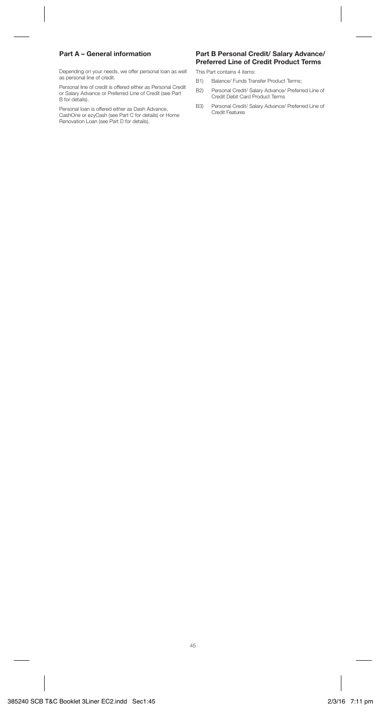# **Part A – General information**

Depending on your needs, we offer personal loan as well as personal line of credit.

Personal line of credit is offered either as Personal Credit or Salary Advance or Preferred Line of Credit (see Part B for details).

Personal loan is offered either as Dash Advance, CashOne or ezyCash (see Part C for details) or Home Renovation Loan (see Part D for details).

# **Part B Personal Credit/ Salary Advance/ Preferred Line of Credit Product Terms**

This Part contains 4 items:

- B1) Balance/ Funds Transfer Product Terms;
- B2) Personal Credit/ Salary Advance/ Preferred Line of Credit Debit Card Product Terms
- B3) Personal Credit/ Salary Advance/ Preferred Line of Credit Features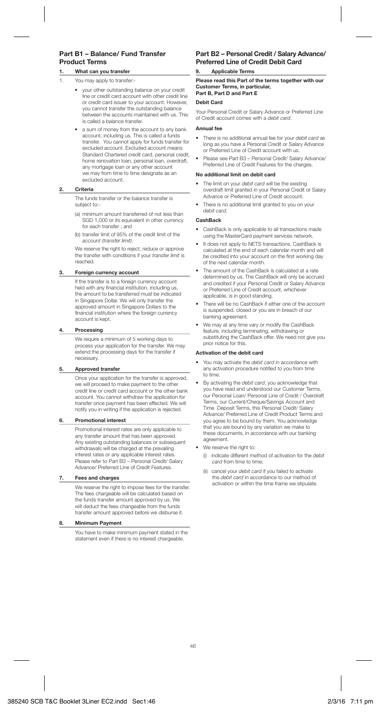# **Part B1 – Balance/ Fund Transfer Product Terms**

# **1. What can you transfer**

- 1. You may apply to transfer-
	- your other outstanding balance on your credit line or credit card account with other credit line or credit card issuer to your account. However, you cannot transfer the outstanding balance between the accounts maintained with us. This is called a balance transfer.
	- a sum of money from the account to any bank account, including us. This is called a funds transfer. You cannot apply for funds transfer for excluded account. Excluded account means Standard Chartered credit card, personal credit, home renovation loan, personal loan, overdraft any mortgage loan or any other account we may from time to time designate as an excluded account.

## **2. Criteria**

 The funds transfer or the balance transfer is subject to:-

- (a) minimum amount transferred of not less than SGD 1,000 or its equivalent in other currency for each transfer ; and
- (b) transfer limit of 95% of the credit limit of the account (transfer limit).

 We reserve the right to reject, reduce or approve the transfer with conditions if your transfer limit is reached.

## **3. Foreign currency account**

 If the transfer is to a foreign currency account held with any financial institution, including us the amount to be transferred must be indicated in Singapore Dollar. We will only transfer the approved amount in Singapore Dollars to the financial institution where the foreign currency account is kept.

## **4. Processing**

 We require a minimum of 5 working days to process your application for the transfer. We may extend the processing days for the transfer if necessary.

## **5. Approved transfer**

 Once your application for the transfer is approved, we will proceed to make payment to the other credit line or credit card account or the other bank account. You cannot withdraw the application for transfer once payment has been effected. We will notify you in writing if the application is rejected.

## **6. Promotional interest**

 Promotional interest rates are only applicable to any transfer amount that has been approved. Any existing outstanding balances or subsequent withdrawals will be charged at the prevailing interest rates or any applicable interest rates. Please refer to Part B3 – Personal Credit/ Salary Advance/ Preferred Line of Credit Features.

## **7. Fees and charges**

 We reserve the right to impose fees for the transfer. The fees chargeable will be calculated based on the funds transfer amount approved by us. We will deduct the fees changeable from the funds transfer amount approved before we disburse it.

## **8. Minimum Payment**

 You have to make minimum payment stated in the statement even if there is no interest chargeable.

# **Part B2 – Personal Credit / Salary Advance/ Preferred Line of Credit Debit Card**

## **9. Applicable Terms**

**Please read this Part of the terms together with our Customer Terms, in particular, Part B, Part D and Part E**

## **Debit Card**

Your Personal Credit or Salary Advance or Preferred Line of Credit account comes with a debit card.

## **Annual fee**

- There is no additional annual fee for your debit card as long as you have a Personal Credit or Salary Advance or Preferred Line of Credit account with us.
- Please see Part B3 Personal Credit/ Salary Advance/ Preferred Line of Credit Features for the charges.

## **No additional limit on debit card**

- The limit on your debit card will be the existing overdraft limit granted in your Personal Credit or Salary Advance or Preferred Line of Credit account.
- There is no additional limit granted to you on your debit card.

## **CashBack**

- CashBack is only applicable to all transactions made using the MasterCard payment services network.
- It does not apply to NETS transactions. CashBack is calculated at the end of each calendar month and will be credited into your account on the first working day of the next calendar month.
- The amount of the CashBack is calculated at a rate determined by us. The CashBack will only be accrued and credited if your Personal Credit or Salary Advance or Preferred Line of Credit account, whichever applicable, is in good standing.
- There will be no CashBack if either one of the account is suspended, closed or you are in breach of our banking agreement.
- We may at any time vary or modify the CashBack feature, including terminating, withdrawing or substituting the CashBack offer. We need not give you prior notice for this.

## **Activation of the debit card**

- You may activate the debit card in accordance with any activation procedure notified to you from time to time.
- By activating the debit card, you acknowledge that you have read and understood our Customer Terms, our Personal Loan/ Personal Line of Credit / Overdraft Terms, our Current/Cheque/Savings Account and Time Deposit Terms, this Personal Credit/ Salary Advance/ Preferred Line of Credit Product Terms and you agree to be bound by them. You acknowledge that you are bound by any variation we make to these documents, in accordance with our banking agreement.
- We reserve the right to:
	- (i) indicate different method of activation for the debit card from time to time:
	- (ii) cancel your debit card if you failed to activate the debit card in accordance to our method of activation or within the time frame we stipulate.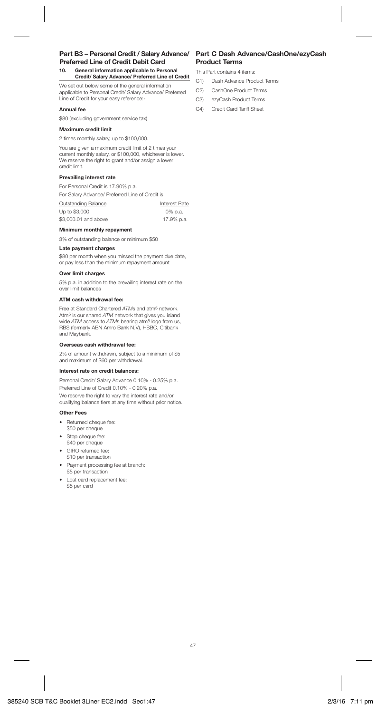## **Part B3 – Personal Credit / Salary Advance/ Part C Dash Advance/CashOne/ezyCash Preferred Line of Credit Debit Card 10. General information applicable to Personal Credit/ Salary Advance/ Preferred Line of Credit**

We set out below some of the general information applicable to Personal Credit/ Salary Advance/ Preferred Line of Credit for your easy reference:-

## **Annual fee**

\$80 (excluding government service tax)

#### **Maximum credit limit**

2 times monthly salary, up to \$100,000.

You are given a maximum credit limit of 2 times your current monthly salary, or \$100,000, whichever is lower. We reserve the right to grant and/or assign a lower credit limit.

### **Prevailing interest rate**

For Personal Credit is 17.90% p.a. For Salary Advance/ Preferred Line of Credit is

| Outstanding Balance  | Interest Rate |
|----------------------|---------------|
| Up to \$3,000        | 0% p.a.       |
| \$3,000,01 and above | 17.9% p.a.    |

## **Minimum monthly repayment**

3% of outstanding balance or minimum \$50

## **Late payment charges**

\$80 per month when you missed the payment due date, or pay less than the minimum repayment amount

## **Over limit charges**

5% p.a. in addition to the prevailing interest rate on the over limit balances

#### **ATM cash withdrawal fee:**

Free at Standard Chartered ATMs and atm<sup>5</sup> network. Atm5 is our shared ATM network that gives you island wide ATM access to ATMs bearing atm<sup>5</sup> logo from us, RBS (formerly ABN Amro Bank N.V), HSBC, Citibank and Maybank.

## **Overseas cash withdrawal fee:**

2% of amount withdrawn, subject to a minimum of \$5 and maximum of \$60 per withdrawal.

#### **Interest rate on credit balances:**

Personal Credit/ Salary Advance 0.10% - 0.25% p.a. Preferred Line of Credit 0.10% - 0.20% p.a. We reserve the right to vary the interest rate and/or

qualifying balance tiers at any time without prior notice.

#### **Other Fees**

- Returned cheque fee: \$50 per cheque
- Stop cheque fee:
- \$40 per cheque GIRO returned fee:
- \$10 per transaction
- Payment processing fee at branch: \$5 per transaction
- Lost card replacement fee: \$5 per card

# **Product Terms**

This Part contains 4 items:

- C1) Dash Advance Product Terms
- C2) CashOne Product Terms
- C3) ezyCash Product Terms
- C4) Credit Card Tariff Sheet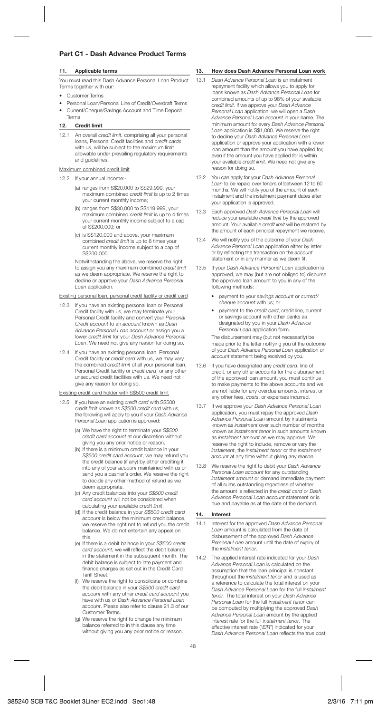# **Part C1 - Dash Advance Product Terms**

## **11. Applicable terms**

You must read this Dash Advance Personal Loan Product Terms together with our:

- Customer Terms
- Personal Loan/Personal Line of Credit/Overdraft Terms
- Current/Cheque/Savings Account and Time Deposit Terms
- **12. Credit limit**
- 12.1 An overall credit limit, comprising all your personal loans, Personal Credit facilities and credit cards with us, will be subject to the maximum limit allowable under prevailing regulatory requirements and guidelines.

Maximum combined credit limit

- 12.2 If your annual income:
	- (a) ranges from S\$20,000 to S\$29,999, your maximum combined credit limit is up to 2 times your current monthly income;
	- (b) ranges from S\$30,000 to S\$119,999, your maximum combined credit limit is up to 4 times your current monthly income subject to a cap of S\$200,000; or
	- (c) is S\$120,000 and above, your maximum combined credit limit is up to 8 times your current monthly income subject to a cap of S\$200,000.

 Notwithstanding the above, we reserve the right to assign you any maximum combined credit limit as we deem appropriate. We reserve the right to decline or approve your Dash Advance Personal Loan application

- Existing personal loan, personal credit facility or credit card
- 12.3 If you have an existing personal loan or Personal Credit facility with us, we may terminate your Personal Credit facility and convert your Personal Credit account to an account known as Dash Advance Personal Loan account or assign you a lower credit limit for your Dash Advance Personal Loan. We need not give any reason for doing so.
- 12.4 If you have an existing personal loan, Personal Credit facility or credit card with us, we may vary the combined credit limit of all your personal loan, Personal Credit facility or credit card, or any other unsecured credit facilities with us. We need not give any reason for doing so.

## Existing credit card holder with S\$500 credit limit

- 12.5 If you have an existing credit card with S\$500 credit limit known as S\$500 credit card with us, the following will apply to you if your Dash Advance Personal Loan application is approved:
	- (a) We have the right to terminate your S\$500 credit card account at our discretion without giving you any prior notice or reason.
	- (b) If there is a minimum credit balance in your S\$500 credit card account, we may refund you the credit balance (if any) by either crediting it into any of your account maintained with us or send you a cashier's order. We reserve the right to decide any other method of refund as we deem appropriate.
	- (c) Any credit balances into your S\$500 credit card account will not be considered when calculating your available credit limit.
	- (d) If the credit balance in your S\$500 credit card account is below the minimum credit balance, we reserve the right not to refund you the credit balance. We do not entertain any appeal on this.
	- (e) If there is a debit balance in your S\$500 credit card account, we will reflect the debit balance in the statement in the subsequent month. The debit balance is subject to late payment and finance charges as set out in the Credit Card Tariff Shoot
	- (f) We reserve the right to consolidate or combine the debit balance in your S\$500 credit card account with any other credit card account you have with us or Dash Advance Personal Loan account. Please also refer to clause 21.3 of our Customer Terms.
	- (g) We reserve the right to change the minimum balance referred to in this clause any time without giving you any prior notice or reason.

## **13. How does Dash Advance Personal Loan work**

- 13.1 Dash Advance Personal Loan is an instalment repayment facility which allows you to apply for loans known as Dash Advance Personal Loan for combined amounts of up to 98% of your available credit limit. If we approve your Dash Advance Personal Loan application, we will open a Dash Advance Personal Loan account in your name. The minimum amount for every Dash Advance Personal Loan application is S\$1,000. We reserve the right to decline your Dash Advance Personal Loan application or approve your application with a lower loan amount than the amount you have applied for, even if the amount you have applied for is within your available credit limit. We need not give any reason for doing so.
- 13.2 You can apply for your Dash Advance Personal Loan to be repaid over tenors of between 12 to 60 months. We will notify you of the amount of each instalment and the instalment payment dates after your application is approved.
- 13.3 Each approved Dash Advance Personal Loan will reduce your available credit limit by the approved amount. Your available credit limit will be restored by the amount of each principal repayment we receive.
- 13.4 We will notify you of the outcome of your Dash Advance Personal Loan application either by letter or by reflecting the transaction on the account statement or in any manner as we deem fit.
- 13.5 If your Dash Advance Personal Loan application is approved, we may (but are not obliged to) disburse the approved loan amount to you in any of the following methods:
	- payment to your savings account or current/ cheque account with us; or
	- payment to the credit card, credit line, current or savings account with other banks as designated by you in your Dash Advance Personal Loan application form.

 The disbursement may (but not necessarily) be made prior to the letter notifying you of the outcome of your Dash Advance Personal Loan application or account statement being received by you.

- 13.6 If you have designated any credit card, line of credit, or any other accounts for the disbursement of the approved loan amount, you must continue to make payments to the above accounts and we are not liable for any overdue amounts, interest or any other fees, costs, or expenses incurred.
- 13.7 If we approve your Dash Advance Personal Loan application, you must repay the approved Dash Advance Personal Loan amount by instalments known as instalment over such number of months known as instalment tenor in such amounts known as instalment amount as we may approve. We reserve the right to include, remove or vary the instalment, the instalment tenor or the instalment amount at any time without giving any reason.
- 13.8 We reserve the right to debit your Dash Advance Personal Loan account for any outstanding instalment amount or demand immediate payment of all sums outstanding regardless of whether the amount is reflected in the credit card or Dash Advance Personal Loan account statement or is due and payable as at the date of the demand.

## **14. Interest**

- 14.1 Interest for the approved Dash Advance Personal Loan amount is calculated from the date of disbursement of the approved Dash Advance Personal Loan amount until the date of expiry of the instalment tenor.
- 14.2 The applied interest rate indicated for your Dash Advance Personal Loan is calculated on the assumption that the loan principal is constant throughout the instalment tenor and is used as a reference to calculate the total interest on your Dash Advance Personal Loan for the full instalment tenor. The total interest on your Dash Advance Personal Loan for the full instalment tenor can be computed by multiplying the approved Dash Advance Personal Loan amount by the applied interest rate for the full instalment tenor. The effective interest rate ("EIR") indicated for your Dash Advance Personal Loan reflects the true cost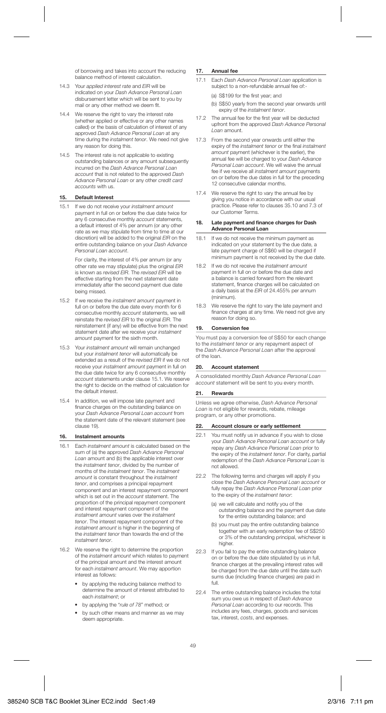of borrowing and takes into account the reducing balance method of interest calculation.

- 14.3 Your applied interest rate and EIR will be indicated on your Dash Advance Personal Loan disbursement letter which will be sent to you by mail or any other method we deem fit.
- 14.4 We reserve the right to vary the interest rate (whether applied or effective or any other names called) or the basis of calculation of interest of any approved Dash Advance Personal Loan at any time during the *instalment tenor*. We need not give any reason for doing this.
- 14.5 The interest rate is not applicable to existing outstanding balances or any amount subsequently incurred on the Dash Advance Personal Loan account that is not related to the approved Dash Advance Personal Loan or any other credit card accounts with us.

### **15. Default Interest**

15.1 If we do not receive your instalment amount payment in full on or before the due date twice for any 6 consecutive monthly *account* statements, a default interest of 4% per annum (or any other rate as we may stipulate from time to time at our discretion) will be added to the original EIR on the entire outstanding balance on your Dash Advance Personal Loan account.

> For clarity, the interest of 4% per annum (or any other rate we may stipulate) plus the original EIR is known as revised EIR. The revised EIR will be effective starting from the next statement date immediately after the second payment due date being missed.

- 15.2 If we receive the *instalment amount* payment in full on or before the due date every month for 6 consecutive monthly account statements, we will reinstate the revised EIR to the original EIR. The reinstatement (if any) will be effective from the next statement date after we receive your *instalment* amount payment for the sixth month.
- 15.3 Your instalment amount will remain unchanged but your instalment tenor will automatically be extended as a result of the revised FIR if we do not receive your instalment amount payment in full on the due date twice for any 6 consecutive monthly account statements under clause 15.1. We reserve the right to decide on the method of calculation for the default interest.
- 15.4 In addition, we will impose late payment and finance charges on the outstanding balance on your Dash Advance Personal Loan account from the statement date of the relevant statement (see clause 19).

#### **16. Instalment amounts**

- 16.1 Each *instalment amount* is calculated based on the sum of (a) the approved Dash Advance Personal Loan amount and (b) the applicable interest over the instalment tenor, divided by the number of months of the instalment tenor. The instalment amount is constant throughout the instalment tenor, and comprises a principal repayment component and an interest repayment component which is set out in the *account* statement. The proportion of the principal repayment component and interest repayment component of the instalment amount varies over the instalment tenor. The interest repayment component of the instalment amount is higher in the beginning of the instalment tenor than towards the end of the instalment tenor.
- 16.2 We reserve the right to determine the proportion of the instalment amount which relates to payment of the principal amount and the interest amount for each instalment amount. We may apportion interest as follows:
	- by applying the reducing balance method to determine the amount of interest attributed to each instalment; or
	- by applying the "rule of 78" method; or
	- by such other means and manner as we may deem appropriate.

#### **17. Annual fee**

- 17.1 Each Dash Advance Personal Loan application is subject to a non-refundable annual fee of:-
	- (a) S\$199 for the first year; and
	- (b) S\$50 yearly from the second year onwards until expiry of the instalment tenor.
- 17.2 The annual fee for the first year will be deducted upfront from the approved Dash Advance Personal Loan amount.
- 17.3 From the second year onwards until either the expiry of the instalment tenor or the final instalment amount payment (whichever is the earlier), the annual fee will be charged to your Dash Advance Personal Loan account. We will waive the annual fee if we receive all instalment amount payments on or before the due dates in full for the preceding 12 consecutive calendar months.
- 17.4 We reserve the right to vary the annual fee by giving you notice in accordance with our usual practice. Please refer to clauses 35.10 and 7.3 of our Customer Terms.

## 18. Late payment and finance charges for Dash **Advance Personal Loan**

- 18.1 If we do not receive the minimum payment as indicated on your statement by the due date, a late payment charge of S\$60 will be charged if minimum payment is not received by the due date.
- 18.2 If we do not receive the *instalment amount* payment in full on or before the due date and a balance is carried forward from the relevant statement, finance charges will be calculated on a daily basis at the EIR of 24.455% per annum (minimum).
- 18.3 We reserve the right to vary the late payment and finance charges at any time. We need not give any reason for doing so.

#### **19. Conversion fee**

You must pay a conversion fee of S\$50 for each change to the *instalment tenor* or any repayment aspect of the Dash Advance Personal Loan after the approval of the loan.

### **20. Account statement**

A consolidated monthly Dash Advance Personal Loan account statement will be sent to you every month.

## **21. Rewards**

Unless we agree otherwise, Dash Advance Personal Loan is not eligible for rewards, rebate, mileage program, or any other promotions.

## **22. Account closure or early settlement**

- 22.1 You must notify us in advance if you wish to close your Dash Advance Personal Loan account or fully repay any Dash Advance Personal Loan prior to the expiry of the instalment tenor. For clarity, partial redemption of the Dash Advance Personal Loan is not allowed.
- 22.2 The following terms and charges will apply if you close the Dash Advance Personal Loan account or fully repay the Dash Advance Personal Loan prior to the expiry of the *instalment tenor*:
	- (a) we will calculate and notify you of the outstanding balance and the payment due date for the entire outstanding balance; and
	- (b) you must pay the entire outstanding balance together with an early redemption fee of S\$250 or 3% of the outstanding principal, whichever is higher.
- 22.3 If you fail to pay the entire outstanding balance on or before the due date stipulated by us in full, finance charges at the prevailing interest rates will be charged from the due date until the date such sums due (including finance charges) are paid in full.
- 22.4 The entire outstanding balance includes the total sum you owe us in respect of Dash Advance Personal Loan according to our records. This includes any fees, charges, goods and services tax, interest, costs, and expenses.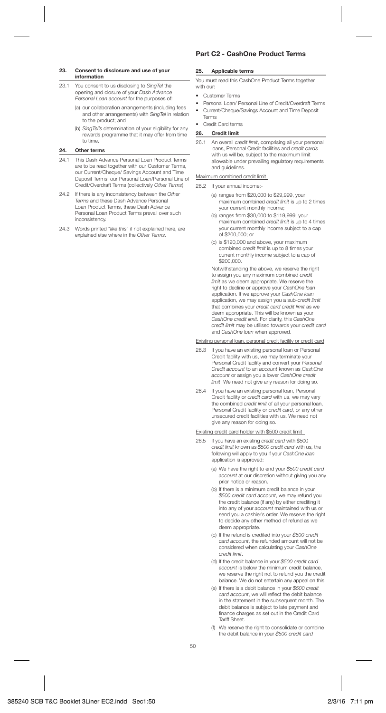#### **23. Consent to disclosure and use of your information**

- 23.1 You consent to us disclosing to SingTel the opening and closure of your Dash Advance Personal Loan account for the purposes of:
	- (a) our collaboration arrangements (including fees and other arrangements) with SingTel in relation to the product; and
	- (b) SingTel's determination of your eligibility for any rewards programme that it may offer from time to time.

## **24. Other terms**

- 24.1 This Dash Advance Personal Loan Product Terms are to be read together with our Customer Terms, our Current/Cheque/ Savings Account and Time Deposit Terms, our Personal Loan/Personal Line of Credit/Overdraft Terms (collectively Other Terms).
- 24.2 If there is any inconsistency between the Other Terms and these Dash Advance Personal Loan Product Terms, these Dash Advance Personal Loan Product Terms prevail over such inconsistency.
- 24.3 Words printed "like this" if not explained here, are explained else where in the Other Terms.

# **Part C2 - CashOne Product Terms**

#### **25. Applicable terms**

You must read this CashOne Product Terms together with our:

- Customer Terms
- Personal Loan/ Personal Line of Credit/Overdraft Terms
- Current/Cheque/Savings Account and Time Deposit Terms
- Credit Card terms

# **26. Credit limit**

26.1 An overall credit limit, comprising all your personal loans, Personal Credit facilities and credit cards with us will be, subject to the maximum limit allowable under prevailing regulatory requirements and guidelines.

## Maximum combined credit limit

- 26.2 If your annual income:-
	- (a) ranges from \$20,000 to \$29,999, your maximum combined credit limit is up to 2 times your current monthly income;
	- (b) ranges from \$30,000 to \$119,999, your maximum combined credit limit is up to 4 times your current monthly income subject to a cap of \$200,000; or
	- (c) is \$120,000 and above, your maximum combined credit limit is up to 8 times your current monthly income subject to a cap of \$200,000.

 Notwithstanding the above, we reserve the right to assign you any maximum combined credit limit as we deem appropriate. We reserve the right to decline or approve your CashOne loan application. If we approve your CashOne loan application, we may assign you a sub-credit limit that combines your credit card credit limit as we deem appropriate. This will be known as your CashOne credit limit. For clarity, this CashOne credit limit may be utilised towards your credit card and CashOne loan when approved

#### Existing personal loan, personal credit facility or credit card

- 26.3 If you have an existing personal loan or Personal Credit facility with us, we may terminate your Personal Credit facility and convert your Personal Credit account to an account known as CashOne account or assign you a lower CashOne credit limit. We need not give any reason for doing so.
- 26.4 If you have an existing personal loan, Personal Credit facility or credit card with us, we may vary the combined credit limit of all your personal loan, Personal Credit facility or credit card, or any other unsecured credit facilities with us. We need not give any reason for doing so.

#### Existing credit card holder with \$500 credit limit

- 26.5 If you have an existing credit card with \$500 credit limit known as \$500 credit card with us, the following will apply to you if your CashOne loan application is approved:
	- (a) We have the right to end your \$500 credit card account at our discretion without giving you any prior notice or reason.
	- (b) If there is a minimum credit balance in your \$500 credit card account, we may refund you the credit balance (if any) by either crediting it into any of your account maintained with us or send you a cashier's order. We reserve the right to decide any other method of refund as we deem appropriate.
	- (c) If the refund is credited into your \$500 credit card account, the refunded amount will not be considered when calculating your CashOne credit limit.
	- (d) If the credit balance in your \$500 credit card account is below the minimum credit balance, we reserve the right not to refund you the credit balance. We do not entertain any appeal on this.
	- (e) If there is a debit balance in your \$500 credit ment of a debit balance in your posts or can<br>card account, we will reflect the debit balance in the statement in the subsequent month. The debit balance is subject to late payment and finance charges as set out in the Credit Card Tariff Sheet.
	- (f) We reserve the right to consolidate or combine the debit balance in your \$500 credit card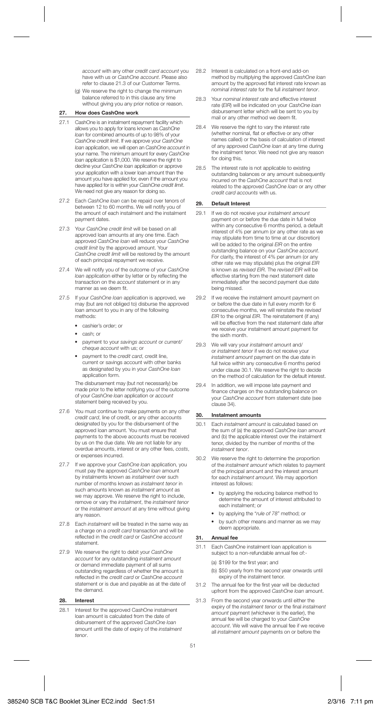account with any other credit card account you have with us or CashOne account. Please also refer to clause 21.3 of our Customer Terms.

(g) We reserve the right to change the minimum balance referred to in this clause any time without giving you any prior notice or reason.

## **27. How does CashOne work**

- 27.1 CashOne is an instalment repayment facility which allows you to apply for loans known as CashOne loan for combined amounts of up to 98% of your CashOne credit limit. If we approve your CashOne loan application, we will open an CashOne account in your name. The minimum amount for every CashOne loan application is \$1,000. We reserve the right to decline your CashOne loan application or approve your application with a lower loan amount than the amount you have applied for, even if the amount you have applied for is within your CashOne credit limit. We need not give any reason for doing so.
- 27.2 Each CashOne loan can be repaid over tenors of between 12 to 60 months. We will notify you of the amount of each instalment and the instalment payment dates.
- 27.3 Your CashOne credit limit will be based on all approved loan amounts at any one time. Each approved *CashOne loan w*ill reduce your *CashOne*<br>*credit limit* by the approved amount. Your CashOne credit limit will be restored by the amount of each principal repayment we receive.
- 27.4 We will notify you of the outcome of your CashOne loan application either by letter or by reflecting the transaction on the *account* statement or in any manner as we deem fit
- 27.5 If your CashOne loan application is approved, we may (but are not obliged to) disburse the approved loan amount to you in any of the following methods:
	- cashier's order; or
	- cash; or
	- payment to your savings account or current/ cheque account with us; or
	- payment to the credit card, credit line, current or savings account with other banks as designated by you in your CashOne loan application form.

 The disbursement may (but not necessarily) be made prior to the letter notifying you of the outcome of your CashOne loan application or account statement being received by you.

- 27.6 You must continue to make payments on any other credit card, line of credit, or any other accounts designated by you for the disbursement of the approved loan amount. You must ensure that payments to the above accounts must be received by us on the due date. We are not liable for any overdue amounts, interest or any other fees, costs, or expenses incurred.
- 27.7 If we approve your CashOne loan application, you must pay the approved CashOne loan amount by instalments known as instalment over such number of months known as instalment tenor in such amounts known as *instalment amount* as we may approve. We reserve the right to include, remove or vary the *instalment*, the *instalment tenor* or the *instalment amount* at any time without giving any reason.
- 27.8 Each *instalment* will be treated in the same way as a charge on a credit card transaction and will be reflected in the credit card or CashOne account statement.
- 27.9 We reserve the right to debit your CashOne account for any outstanding instalment amount or demand immediate payment of all sums outstanding regardless of whether the amount is reflected in the credit card or CashOne account statement or is due and payable as at the date of the demand.

## **28. Interest**

28.1 Interest for the approved CashOne instalment loan amount is calculated from the date of disbursement of the approved CashOne loan amount until the date of expiry of the instalment tenor.

- 28.2 Interest is calculated on a front-end add-on method by multiplying the approved CashOne loan amount by the approved flat interest rate known as nominal interest rate for the full instalment tenor.
- 28.3 Your nominal interest rate and effective interest rate (EIR) will be indicated on your CashOne loan disbursement letter which will be sent to you by mail or any other method we deem fit.
- 28.4 We reserve the right to vary the interest rate (whether nominal, flat or cally allowed or any other<br>nominal, flat or effective or any other<br>nomes called) or the basis of calculation of interest names called) or the basis of calculation of interest of any approved CashOne loan at any time during the instalment tenor. We need not give any reason for doing this.
- 28.5 The interest rate is not applicable to existing outstanding balances or any amount subsequently incurred on the CashOne account that is not related to the approved CashOne loan or any other credit card accounts with us.

### **29. Default Interest**

- 29.1 If we do not receive your instalment amount payment on or before the due date in full twice within any consecutive 6 months period, a default interest of 4% per annum (or any other rate as we may stipulate from time to time at our discretion) will be added to the original EIR on the entire outstanding balance on your CashOne account. For clarity, the interest of 4% per annum (or any other rate we may stipulate) plus the original EIR is known as revised EIR. The revised EIR will be effective starting from the next statement date immediately after the second payment due date being missed.
- 29.2 If we receive the instalment amount payment on or before the due date in full every month for 6 consecutive months, we will reinstate the revised EIR to the original EIR. The reinstatement (if any) will be effective from the next statement date after we receive your instalment amount payment for the sixth month.
- 29.3 We will vary your *instalment amount* and/ or instalment tenor if we do not receive your instalment amount payment on the due date in full twice within any consecutive 6 months period under clause 30.1. We reserve the right to decide on the method of calculation for the default interest.
- 29.4 In addition, we will impose late payment and finance charges on the outstanding balance on your CashOne account from statement date (see clause 34).

## **30. Instalment amounts**

- 30.1 Each *instalment amount* is calculated based on the sum of (a) the approved CashOne loan amount and (b) the applicable interest over the instalment tenor, divided by the number of months of the instalment tenor.
- 30.2 We reserve the right to determine the proportion of the instalment amount which relates to payment of the principal amount and the interest amount for each instalment amount. We may apportion interest as follows:
	- by applying the reducing balance method to determine the amount of interest attributed to each instalment; or
	- by applying the "rule of 78" method; or
	- by such other means and manner as we may deem appropriate.

#### **31. Annual fee**

31.1 Each CashOne instalment loan application is subject to a non-refundable annual fee of:-

(a) \$199 for the first year; and

- (b) \$50 yearly from the second year onwards until expiry of the instalment tenor.
- 31.2 The annual fee for the first year will be deducted upfront from the approved CashOne loan amount.
- 31.3 From the second year onwards until either the expiry of the *instalment tenor* or the final instalment amount payment (whichever is the earlier), the annual fee will be charged to your CashOne account. We will waive the annual fee if we receive all instalment amount payments on or before the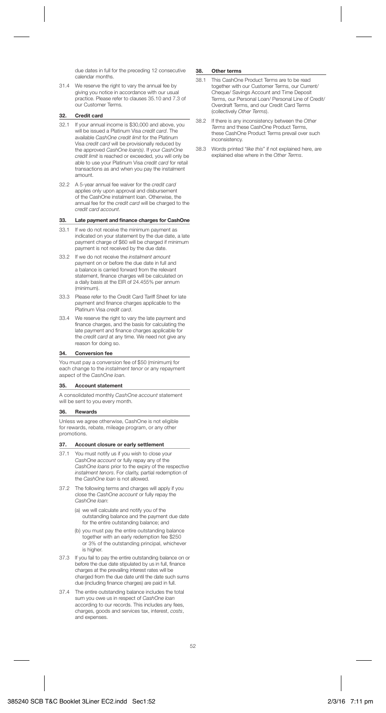due dates in full for the preceding 12 consecutive calendar months.

31.4 We reserve the right to vary the annual fee by giving you notice in accordance with our usual practice. Please refer to clauses 35.10 and 7.3 of our Customer Terms.

## **32. Credit card**

- 32.1 If your annual income is \$30,000 and above, you will be issued a Platinum Visa credit card. The available CashOne credit limit for the Platinum Visa credit card will be provisionally reduced by the approved CashOne loan(s). If your CashOne credit limit is reached or exceeded, you will only be able to use your Platinum Visa credit card for retail transactions as and when you pay the instalment amount.
- 32.2 A 5-year annual fee waiver for the credit card applies only upon approval and disbursement of the CashOne instalment loan. Otherwise, the annual fee for the *credit card* will be charged to the credit card account.

## 33. Late payment and finance charges for CashOne

- 33.1 If we do not receive the minimum payment as indicated on your statement by the due date, a late payment charge of \$60 will be charged if minimum payment is not received by the due date.
- 33.2 If we do not receive the instalment amount payment on or before the due date in full and a balance is carried forward from the relevant statement, finance charges will be calculated on a daily basis at the EIR of 24.455% per annum (minimum).
- 33.3 Please refer to the Credit Card Tariff Sheet for late payment and finance charges applicable to the Platinum Visa credit card.
- 33.4 We reserve the right to vary the late payment and finance charges, and the basis for calculating the late payment and finance charges applicable for the credit card at any time. We need not give any reason for doing so.

## **34. Conversion fee**

You must pay a conversion fee of \$50 (minimum) for each change to the instalment tenor or any repayment aspect of the CashOne loan.

#### **35. Account statement**

A consolidated monthly CashOne account statement will be sent to you every month.

#### **36. Rewards**

Unless we agree otherwise, CashOne is not eligible for rewards, rebate, mileage program, or any other promotions.

## **37. Account closure or early settlement**

- 37.1 You must notify us if you wish to close your CashOne account or fully repay any of the CashOne loans prior to the expiry of the respective instalment tenors. For clarity, partial redemption of the CashOne loan is not allowed.
- 37.2 The following terms and charges will apply if you close the CashOne account or fully repay the CashOne loan:
	- (a) we will calculate and notify you of the outstanding balance and the payment due date for the entire outstanding balance; and
	- (b) you must pay the entire outstanding balance together with an early redemption fee \$250 or 3% of the outstanding principal, whichever is higher.
- 37.3 If you fail to pay the entire outstanding balance on or before the due date stipulated by us in full, finance charges at the prevailing interest rates will be charged from the due date until the date such sums due (including finance charges) are paid in full.
- 37.4 The entire outstanding balance includes the total sum you owe us in respect of CashOne loan according to our records. This includes any fees, charges, goods and services tax, interest, costs, and expenses.

#### **38. Other terms**

- 38.1 This CashOne Product Terms are to be read together with our Customer Terms, our Current/ Cheque/ Savings Account and Time Deposit Terms, our Personal Loan/ Personal Line of Credit/ Overdraft Terms, and our Credit Card Terms (collectively Other Terms).
- 38.2 If there is any inconsistency between the Other Terms and these CashOne Product Terms, these CashOne Product Terms prevail over such inconsistency.
- 38.3 Words printed "like this" if not explained here, are explained else where in the Other Terms.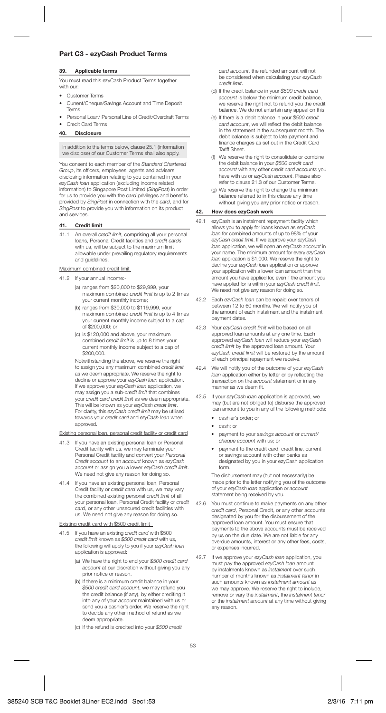# **Part C3 - ezyCash Product Terms**

#### **39. Applicable terms**

You must read this ezyCash Product Terms together with our:

- Customer Terms
- Current/Cheque/Savings Account and Time Deposit Terms
- Personal Loan/ Personal Line of Credit/Overdraft Terms
- Credit Card Terms

## **40. Disclosure**

In addition to the terms below, clause 25.1 (information we disclose) of our Customer Terms shall also apply.

You consent to each member of the Standard Chartered Group, its officers, employees, agents and advisers disclosing information relating to you contained in your ezyCash loan application (excluding income related information) to Singapore Post Limited (SingPost) in order for us to provide you with the card privileges and benefits provided by SingPost in connection with the card, and for SingPost to provide you with information on its product and services.

#### **41. Credit limit**

41.1 An overall credit limit, comprising all your personal loans, Personal Credit facilities and credit cards with us, will be subject to the maximum limit allowable under prevailing regulatory requirements and quidelines.

#### Maximum combined credit limit

- 41.2 If your annual income:
	- (a) ranges from \$20,000 to \$29,999, your maximum combined credit limit is up to 2 times your current monthly income;
	- (b) ranges from \$30,000 to \$119,999, your maximum combined credit limit is up to 4 times your current monthly income subject to a cap of \$200,000; or
	- (c) is \$120,000 and above, your maximum combined credit limit is up to 8 times your current monthly income subject to a cap of **\$200,000.**

 Notwithstanding the above, we reserve the right to assign you any maximum combined credit limit as we deem appropriate. We reserve the right to decline or approve your ezyCash loan application. If we approve your ezyCash loan application, we may assign you a sub-credit limit that combines your credit card credit limit as we deem appropriate. This will be known as your ezyCash credit limit. For clarity, this ezyCash credit limit may be utilised towards your credit card and ezyCash loan when approved.

## Existing personal loan, personal credit facility or credit card

- 41.3 If you have an existing personal loan or Personal Credit facility with us, we may terminate your Personal Credit facility and convert your Personal Credit account to an account known as ezyCash account or assign you a lower ezyCash credit limit. We need not give any reason for doing so.
- 41.4 If you have an existing personal loan, Personal Credit facility or credit card with us, we may vary the combined existing personal credit limit of all your personal loan, Personal Credit facility or credit card, or any other unsecured credit facilities with us. We need not give any reason for doing so.

## Existing credit card with \$500 credit limit

- 41.5 If you have an existing credit card with \$500 credit limit known as \$500 credit card with us, the following will apply to you if your ezyCash loan application is approved:
	- (a) We have the right to end your \$500 credit card account at our discretion without giving you any prior notice or reason.
	- (b) If there is a minimum credit balance in your \$500 credit card account, we may refund you the credit balance (if any), by either crediting it into any of your account maintained with us or send you a cashier's order. We reserve the right to decide any other method of refund as we deem appropriate.
	- (c) If the refund is credited into your \$500 credit

card account, the refunded amount will not be considered when calculating your ezyCash credit limit.

- (d) If the credit balance in your \$500 credit card account is below the minimum credit balance, we reserve the right not to refund you the credit balance. We do not entertain any appeal on this.
- (e) If there is a debit balance in your \$500 credit card account, we will reflect the debit balance in the statement in the subsequent month. The debit balance is subject to late payment and finance charges as set out in the Credit Card Tariff Sheet.
- (f) We reserve the right to consolidate or combine the debit balance in your \$500 credit card account with any other credit card accounts you have with us or ezyCash account. Please also refer to clause 21.3 of our Customer Terms.
- (g) We reserve the right to change the minimum balance referred to in this clause any time without giving you any prior notice or reason.

#### **42. How does ezyCash work**

- 42.1 ezyCash is an instalment repayment facility which allows you to apply for loans known as ezyCash loan for combined amounts of up to 98% of your ezyCash credit limit. If we approve your ezyCash loan application, we will open an ezyCash account in your name. The minimum amount for every ezyCash loan application is \$1,000. We reserve the right to decline your ezyCash loan application or approve your application with a lower loan amount than the amount you have applied for, even if the amount you have applied for is within your ezyCash credit limit. We need not give any reason for doing so.
- 42.2 Each ezyCash loan can be repaid over tenors of between 12 to 60 months. We will notify you of the amount of each instalment and the instalment payment dates.
- 42.3 Your ezyCash credit limit will be based on all approved loan amounts at any one time. Each approved ezyCash loan will reduce your ezyCash credit limit by the approved loan amount. Your ezyCash credit limit will be restored by the amount of each principal repayment we receive.
- 42.4 We will notify you of the outcome of your ezyCash loan application either by letter or by reflecting the transaction on the account statement or in any manner as we deem fit.
- 42.5 If your ezyCash loan application is approved, we may (but are not obliged to) disburse the approved loan amount to you in any of the following methods:
	- cashier's order; or
	- cash; or
	- payment to your savings account or current/ cheque account with us; or
	- payment to the credit card, credit line, current or savings account with other banks as designated by you in your ezyCash application form.

 The disbursement may (but not necessarily) be made prior to the letter notifying you of the outcome of your ezyCash loan application or account statement being received by you.

- 42.6 You must continue to make payments on any other credit card, Personal Credit, or any other accounts designated by you for the disbursement of the approved loan amount. You must ensure that payments to the above accounts must be received by us on the due date. We are not liable for any overdue amounts, interest or any other fees, costs, or expenses incurred.
- 42.7 If we approve your ezyCash loan application, you must pay the approved ezyCash loan amount by instalments known as instalment over such number of months known as instalment tenor in such amounts known as instalment amount as we may approve. We reserve the right to include, remove or vary the instalment, the instalment tenor or the instalment amount at any time without giving any reason.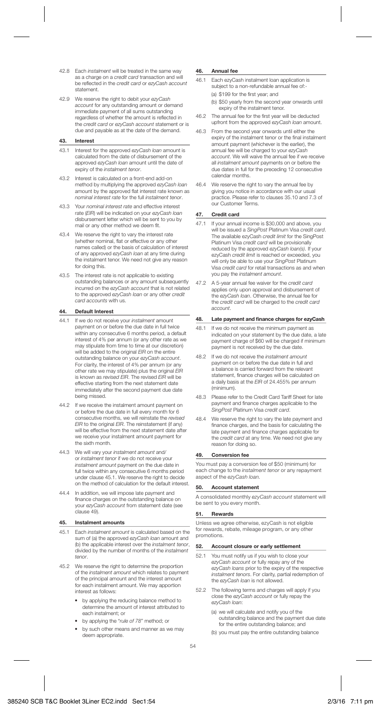- 42.8 Each instalment will be treated in the same way as a charge on a credit card transaction and will be reflected in the credit card or ezyCash account statement.
- 42.9 We reserve the right to debit your ezyCash account for any outstanding amount or demand immediate payment of all sums outstanding regardless of whether the amount is reflected in the credit card or ezyCash account statement or is due and payable as at the date of the demand.

## **43. Interest**

- 43.1 Interest for the approved ezyCash loan amount is calculated from the date of disbursement of the approved ezyCash loan amount until the date of expiry of the instalment tenor.
- 43.2 Interest is calculated on a front-end add-on method by multiplying the approved ezyCash loan amount by the approved flat interest rate known as nominal interest rate for the full instalment tenor.
- 43.3 Your nominal interest rate and effective interest rate (EIR) will be indicated on your ezyCash loan disbursement letter which will be sent to you by mail or any other method we deem fit.
- 43.4 We reserve the right to vary the interest rate (whether nominal, flat or effective or any other names called) or the basis of calculation of interest of any approved ezyCash loan at any time during the instalment tenor. We need not give any reason for doing this.
- 43.5 The interest rate is not applicable to existing outstanding balances or any amount subsequently incurred on the ezyCash account that is not related to the approved ezyCash loan or any other credit card accounts with us.

## **44. Default Interest**

- 44.1 If we do not receive your instalment amount payment on or before the due date in full twice within any consecutive 6 months period, a default interest of 4% per annum (or any other rate as we may stipulate from time to time at our discretion) will be added to the original EIR on the entire outstanding balance on your ezyCash account. For clarity, the interest of 4% per annum (or any other rate we may stipulate) plus the original EIR is known as revised EIR. The revised EIR will be effective starting from the next statement date immediately after the second payment due date being missed.
- 44.2 If we receive the instalment amount payment on or before the due date in full every month for 6 consecutive months, we will reinstate the revised EIR to the original EIR. The reinstatement (if any) will be effective from the next statement date after we receive your instalment amount payment for the sixth month.
- 44.3 We will vary your *instalment amount* and/ or instalment tenor if we do not receive your instalment amount payment on the due date in full twice within any consecutive 6 months period under clause 45.1. We reserve the right to decide on the method of calculation for the default interest.
- 44.4 In addition, we will impose late payment and finance charges on the outstanding balance on your ezyCash account from statement date (see clause 49).

#### **45. Instalment amounts**

- 45.1 Each instalment amount is calculated based on the sum of (a) the approved ezyCash loan amount and (b) the applicable interest over the instalment tenor, divided by the number of months of the instalment tenor.
- 45.2 We reserve the right to determine the proportion of the instalment amount which relates to payment of the principal amount and the interest amount for each instalment amount. We may apportion interest as follows:
	- by applying the reducing balance method to determine the amount of interest attributed to each instalment; or
	- by applying the "rule of 78" method; or
	- by such other means and manner as we may deem appropriate.

#### **46. Annual fee**

- 46.1 Each ezyCash instalment loan application is subject to a non-refundable annual fee of:- (a) \$199 for the first year; and
	- (b) \$50 yearly from the second year onwards until expiry of the instalment tenor.
- 46.2 The annual fee for the first year will be deducted upfront from the approved ezyCash loan amount.
- 46.3 From the second year onwards until either the expiry of the instalment tenor or the final instalment amount payment (whichever is the earlier), the annual fee will be charged to your ezyCash account. We will waive the annual fee if we receive all instalment amount payments on or before the due dates in full for the preceding 12 consecutive calendar months.
- 46.4 We reserve the right to vary the annual fee by giving you notice in accordance with our usual practice. Please refer to clauses 35.10 and 7.3 of our Customer Terms.

#### **47. Credit card**

- 47.1 If your annual income is \$30,000 and above, you will be issued a SingPost Platinum Visa credit card. The available ezyCash credit limit for the SingPost Platinum Visa credit card will be provisionally reduced by the approved ezyCash loan(s). If your ezyCash credit limit is reached or exceeded, you be your forcement is reached on exceeded, your SingPost Platinum Visa credit card for retail transactions as and when you pay the instalment amount.
- 47.2 A 5-year annual fee waiver for the credit card applies only upon approval and disbursement of the ezyCash loan. Otherwise, the annual fee for the credit card will be charged to the credit card account.

## **48. Late payment and fi nance charges for ezyCash**

- 48.1 If we do not receive the minimum payment as indicated on your statement by the due date, a late payment charge of \$60 will be charged if minimum payment is not received by the due date.
- 48.2 If we do not receive the *instalment amount* payment on or before the due date in full and a balance is carried forward from the relevant statement, finance charges will be calculated on a daily basis at the EIR of 24.455% per annum (minimum).
- 48.3 Please refer to the Credit Card Tariff Sheet for late payment and finance charges applicable to the SingPost Platinum Visa credit card.
- 48.4 We reserve the right to vary the late payment and finance charges, and the basis for calculating the late payment and finance charges applicable for the *credit card* at any time. We need not give any reason for doing so.

#### **49. Conversion fee**

You must pay a conversion fee of \$50 (minimum) for each change to the instalment tenor or any repayment aspect of the ezyCash loan.

#### **50. Account statement**

A consolidated monthly ezyCash account statement will be sent to you every month.

#### **51. Rewards**

Unless we agree otherwise, ezyCash is not eligible for rewards, rebate, mileage program, or any other promotions.

### **52. Account closure or early settlement**

- 52.1 You must notify us if you wish to close your ezyCash account or fully repay any of the ezyCash loans prior to the expiry of the respective instalment tenors. For clarity, partial redemption of the ezyCash loan is not allowed.
- 52.2 The following terms and charges will apply if you close the ezyCash account or fully repay the ezyCash loan:
	- (a) we will calculate and notify you of the outstanding balance and the payment due date for the entire outstanding balance; and
	- (b) you must pay the entire outstanding balance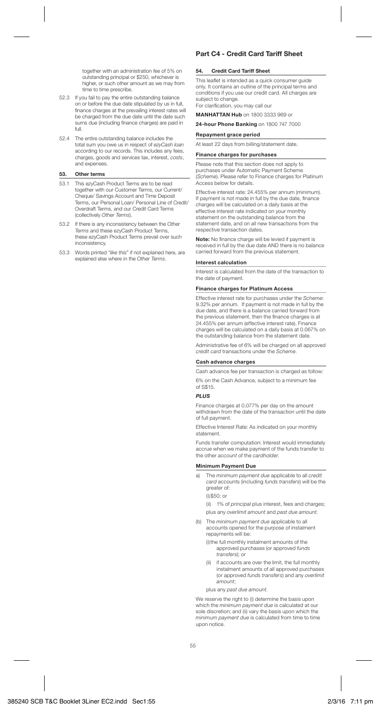together with an administration fee of 5% on outstanding principal or \$250, whichever is higher, or such other amount as we may from time to time prescribe.

- 52.3 If you fail to pay the entire outstanding balance on or before the due date stipulated by us in full, finance charges at the prevailing interest rates will be charged from the due date until the date such sums due (including finance charges) are paid in full.
- 52.4 The entire outstanding balance includes the total sum you owe us in respect of ezyCash loan according to our records. This includes any fees, charges, goods and services tax, interest, costs, and expenses.

#### **53. Other terms**

- 53.1 This ezyCash Product Terms are to be read together with our Customer Terms, our Current/ Cheque/ Savings Account and Time Deposit Terms, our Personal Loan/ Personal Line of Credit/ Overdraft Terms, and our Credit Card Terms (collectively Other Terms).
- 53.2 If there is any inconsistency between the Other Terms and these ezyCash Product Terms, these ezyCash Product Terms prevail over such inconsistency.
- 53.3 Words printed "like this" if not explained here, are explained else where in the Other Terms.

# **Part C4 - Credit Card Tariff Sheet**

## **54. Credit Card Tariff Sheet**

This leaflet is intended as a quick consumer quide only. It contains an outline of the principal terms and conditions if you use our credit card. All charges are subject to change.

For clarification, you may call our

**MANHATTAN Hub** on 1800 3333 969 or

**24-hour Phone Banking** on 1800 747 7000

### **Repayment grace period**

At least 22 days from billing/statement date.

#### **Finance charges for purchases**

Please note that this section does not apply to purchases under Automatic Payment Scheme (Scheme). Please refer to Finance charges for Platinum Access below for details.

Effective interest rate: 24.455% per annum (minimum). If payment is not made in full by the due date, finance charges will be calculated on a daily basis at the effective interest rate indicated on your monthly statement on the outstanding balance from the statement date, and on all new transactions from the respective transaction dates.

Note: No finance charge will be levied if payment is received in full by the due date AND there is no balance carried forward from the previous statement.

#### **Interest calculation**

Interest is calculated from the date of the transaction to the date of payment.

## **Finance charges for Platinum Access**

Effective interest rate for purchases under the Scheme: 9.32% per annum. If payment is not made in full by the due date, and there is a balance carried forward from the previous statement, then the finance charges is at 24.455% per annum (effective interest rate). Finance charges will be calculated on a daily basis at 0.067% on the outstanding balance from the statement date

Administrative fee of 6% will be charged on all approved credit card transactions under the Scheme.

#### **Cash advance charges**

Cash advance fee per transaction is charged as follow:

6% on the Cash Advance, subject to a minimum fee  $of$  S\$15.

## *PLUS*

Finance charges at 0.077% per day on the amount withdrawn from the date of the transaction until the date of full payment.

Effective Interest Rate: As indicated on your monthly statement.

Funds transfer computation: Interest would immediately accrue when we make payment of the funds transfer to the other account of the cardholder

#### **Minimum Payment Due**

a) The minimum payment due applicable to all credit card accounts (including funds transfers) will be the greater of:

(i) \$50; or

(ii) 1% of *principal* plus interest, fees and charges;

plus any overlimit amount and past due amount.

- (b) The minimum payment due applicable to all accounts opened for the purpose of instalment repayments will be:
	- (i) the full monthly instalment amounts of the approved purchases (or approved funds transfers); or
	- (ii) if accounts are over the limit, the full monthly instalment amounts of all approved purchases (or approved funds transfers) and any overlimit amount;

plus any past due amount.

We reserve the right to (i) determine the basis upon which the *minimum payment due* is calculated at our sole discretion; and (ii) vary the basis upon which the minimum payment due is calculated from time to time upon notice.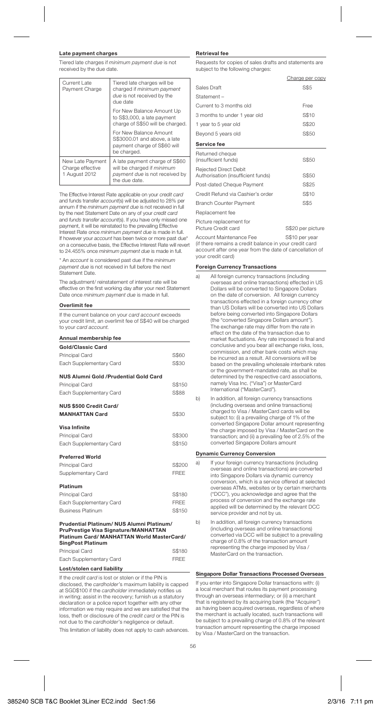## **Late payment charges**

Tiered late charges if minimum payment due is not received by the due date.

| Current Late<br>Payment Charge                        | Tiered late charges will be<br>charged if minimum payment<br>due is not received by the<br>due date             |
|-------------------------------------------------------|-----------------------------------------------------------------------------------------------------------------|
|                                                       | For New Balance Amount Up<br>to S\$3,000, a late payment<br>charge of S\$50 will be charged.                    |
|                                                       | For New Balance Amount<br>S\$3000.01 and above, a late<br>payment charge of S\$60 will<br>be charged.           |
| New Late Payment<br>Charge effective<br>1 August 2012 | A late payment charge of S\$60<br>will be charged if minimum<br>payment due is not received by<br>the due date. |

The Effective Interest Rate applicable on your credit card and funds transfer *account(s)* will be adjusted to 28% per annum if the minimum payment due is not received in full by the next Statement Date on any of your credit card by the next etatement bate on any or your create early only missed one payment, it will be reinstated to the prevailing Effective Interest Rate once minimum payment due is made in full. If however your account has been twice or more past due\* on a consecutive basis, the Effective Interest Rate will revert to 24.455% once minimum payment due is made in full.

\* An account is considered past due if the minimum payment due is not received in full before the next Statement Date.

The adjustment/ reinstatement of interest rate will be effective on the first working day after your next Statement Date once minimum payment due is made in full.

## **Overlimit fee**

If the current balance on your card account exceeds your credit limit, an overlimit fee of S\$40 will be charged to your card account.

## **Annual membership fee**

| Gold/Classic Card                     |             |
|---------------------------------------|-------------|
| Principal Card                        | S\$60       |
| Each Supplementary Card               | S\$30       |
| NUS Alumni Gold /Prudential Gold Card |             |
| Principal Card                        | S\$150      |
| Each Supplementary Card               | S\$88       |
| NUS \$500 Credit Card/                |             |
| <b>MANHATTAN Card</b>                 | S\$30       |
| <b>Visa Infinite</b>                  |             |
| Principal Card                        | S\$300      |
| Each Supplementary Card               | S\$150      |
| <b>Preferred World</b>                |             |
| Principal Card                        | S\$200      |
| Supplementary Card                    | FRFF        |
| Platinum                              |             |
| Principal Card                        | S\$180      |
| Each Supplementary Card               | <b>FREE</b> |
| <b>Business Platinum</b>              | S\$150      |

#### **Prudential Platinum/ NUS Alumni Platinum/ PruPrestige Visa Signature/MANHATTAN Platinum Card/ MANHATTAN World MasterCard/ SingPost Platinum**

| Principal Card          | S\$180      |
|-------------------------|-------------|
| Each Supplementary Card | <b>FREE</b> |

# **Lost/stolen card liability**

If the credit card is lost or stolen or if the PIN is disclosed, the cardholder's maximum liability is capped at SGD\$100 if the *cardholder* immediately notifies us in writing; assist in the recovery; furnish us a statutory declaration or a police report together with any other information we may require and we are satisfied that the loss, theft or disclosure of the credit card or the PIN is not due to the cardholder's negligence or default.

This limitation of liability does not apply to cash advances.

#### **Retrieval fee**

Requests for copies of sales drafts and statements are subject to the following charges:

| <u>JUDICOL IO IIIC IOIIOWIIII</u> OFIBI YOJ.                       |                   |
|--------------------------------------------------------------------|-------------------|
|                                                                    | Charge per copy   |
| Sales Draft                                                        | <b>S\$5</b>       |
| Statement-                                                         |                   |
| Current to 3 months old                                            | Free              |
| 3 months to under 1 year old                                       | S\$10             |
| 1 year to 5 year old                                               | S\$20             |
| Beyond 5 years old                                                 | S\$50             |
| Service fee                                                        |                   |
| Returned cheque<br>(insufficient funds)                            | S\$50             |
| <b>Rejected Direct Debit</b><br>Authorisation (insufficient funds) | S\$50             |
| Post-dated Cheque Payment                                          | S\$25             |
| Credit Refund via Cashier's order                                  | S\$10             |
| Branch Counter Payment                                             | S\$5              |
| Replacement fee                                                    |                   |
| Picture replacement for<br>Picture Credit card                     | S\$20 per picture |
|                                                                    |                   |

Account Maintenance Fee S\$10 per year (if there remains a credit balance in your credit card account after one year from the date of cancellation of your credit card)

## **Foreign Currency Transactions**

- a) All foreign currency transactions (including overseas and online transactions) effected in US Dollars will be converted to Singapore Dollars on the date of conversion. All foreign currency transactions effected in a foreign currency other than US Dollars will be converted into US Dollars before being converted into Singapore Dollars (the "converted Singapore Dollars amount"). The exchange rate may differ from the rate in effect on the date of the transaction due to market fluctuations. Any rate imposed is final and conclusive and you bear all exchange risks, loss, commission, and other bank costs which may be incurred as a result. All conversions will be based on the prevailing wholesale interbank rates or the government-mandated rate, as shall be determined by the respective card associations, namely Visa Inc. ("Visa") or MasterCard International ("MasterCard").
- b) In addition, all foreign currency transactions (including overseas and online transactions) charged to Visa / MasterCard cards will be subject to: (i) a prevailing charge of 1% of the converted Singapore Dollar amount representing the charge imposed by Visa / MasterCard on the transaction; and (ii) a prevailing fee of 2.5% of the converted Singapore Dollars amount

#### **Dynamic Currency Conversion**

- a) If your foreign currency transactions (including overseas and online transactions) are converted into Singapore Dollars via dynamic currency conversion, which is a service offered at selected overseas ATMs, websites or by certain merchants ("DCC"), you acknowledge and agree that the process of conversion and the exchange rate applied will be determined by the relevant DCC service provider and not by us.
- b) In addition, all foreign currency transactions (including overseas and online transactions) converted via DCC will be subject to a prevailing charge of 0.8% of the transaction amount representing the charge imposed by Visa / MasterCard on the transaction.

#### **Singapore Dollar Transactions Processed Overseas**

If you enter into Singapore Dollar transactions with: (i) a local merchant that routes its payment processing through an overseas intermediary; or (ii) a merchant that is registered by its acquiring bank (the "Acquirer") as having been acquired overseas, regardless of where the merchant is actually located, such transactions will be subject to a prevailing charge of 0.8% of the relevant transaction amount representing the charge imposed by Visa / MasterCard on the transaction.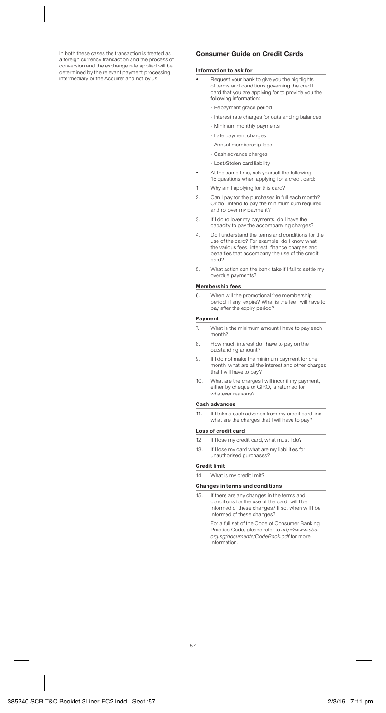In both these cases the transaction is treated as a foreign currency transaction and the process of conversion and the exchange rate applied will be determined by the relevant payment processing intermediary or the Acquirer and not by us.

## **Consumer Guide on Credit Cards**

## **Information to ask for**

- Request your bank to give you the highlights of terms and conditions governing the credit card that you are applying for to provide you the following information:
	- Repayment grace period
	- Interest rate charges for outstanding balances
	- Minimum monthly payments
	- Late payment charges
	- Annual membership fees
	- Cash advance charges
	- Lost/Stolen card liability
- At the same time, ask yourself the following 15 questions when applying for a credit card:
- 1. Why am I applying for this card?
- 2. Can I pay for the purchases in full each month? Or do I intend to pay the minimum sum required and rollover my payment?
- 3. If I do rollover my payments, do I have the capacity to pay the accompanying charges?
- 4. Do I understand the terms and conditions for the use of the card? For example, do I know what the various fees, interest, finance charges and penalties that accompany the use of the credit card?
- 5. What action can the bank take if I fail to settle my overdue payments?

#### **Membership fees**

6. When will the promotional free membership period, if any, expire? What is the fee I will have to pay after the expiry period?

#### **Payment**

- What is the minimum amount I have to pay each month?
- 8. How much interest do I have to pay on the outstanding amount?
- 9. If I do not make the minimum payment for one month, what are all the interest and other charges that I will have to pay?
- 10. What are the charges I will incur if my payment, either by cheque or GIRO, is returned for whatever reasons?

#### **Cash advances**

11. If I take a cash advance from my credit card line, what are the charges that I will have to pay?

#### **Loss of credit card**

- 12. If I lose my credit card, what must I do?
- 13. If I lose my card what are my liabilities for unauthorised purchases?

#### **Credit limit**

14. What is my credit limit?

## **Changes in terms and conditions**

15. If there are any changes in the terms and conditions for the use of the card, will I be informed of these changes? If so, when will I be informed of these changes?

> For a full set of the Code of Consumer Banking Practice Code, please refer to http://www.abs. org.sg/documents/CodeBook.pdf for more information.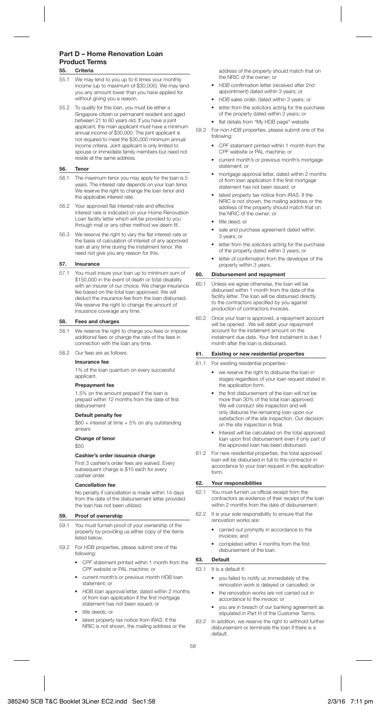## **Part D – Home Renovation Loan Product Terms 55. Criteria**

- 55.1 We may lend to you up to 6 times your monthly income (up to maximum of \$30,000). We may lend you any amount lower than you have applied for without giving you a reason.
- 55.2 To qualify for this loan, you must be either a Singapore citizen or permanent resident and aged between 21 to 60 years old. If you have a joint applicant, the main applicant must have a minimum annual income of \$30,000. The joint applicant is not required to meet the \$30,000 minimum annual income criteria. Joint applicant is only limited to spouse or immediate family members but need not reside at the same address.

## **56. Tenor**

- 56.1 The maximum tenor you may apply for the loan is 5 years. The interest rate depends on your loan tenor. yeare. The morest rate depends on year team tends<br>We reserve the right to change the loan tenor and the applicable interest rate.
- 56.2 Your approved flat interest rate and effective interest rate is indicated on your Home Renovation Loan facility letter which will be provided to you through mail or any other method we deem fit.
- 56.3 We reserve the right to vary the flat interest rate or the basis of calculation of interest of any approved loan at any time during the instalment tenor. We need not give you any reason for this.

### **57. Insurance**

57.1 You must insure your loan up to minimum sum of \$150,000 in the event of death or total disability with an insurer of our choice. We charge insurance fee based on the total loan approved. We will deduct the insurance fee from the loan disbursed. We reserve the right to change the amount of insurance coverage any time.

## **58. Fees and charges**

- 58.1 We reserve the right to charge you fees or impose additional fees or change the rate of the fees in connection with the loan any time.
- 58.2 Our fees are as follows:

#### **Insurance fee**

 1% of the loan quantum on every successful applicant.

## **Prepayment fee**

 1.5% on the amount prepaid if the loan is prepaid within 12 months from the date of first dishursement

## **Default penalty fee**

 \$60 + interest at time + 5% on any outstanding arrears

## **Change of tenor**

\$50

## **Cashier's order issuance charge**

 First 3 cashier's order fees are waived. Every subsequent charge is \$10 each for every cashier order.

#### **Cancellation fee**

 No penalty if cancellation is made within 14 days from the date of the disbursement letter provided the loan has not been utilized.

## **59. Proof of ownership**

- 59.1 You must furnish proof of your ownership of the property by providing us either copy of the items listed below.
- 59.2 For HDB properties, please submit one of the following:
	- CPF statement printed within 1 month from the CPF website or PAL machine; or
	- current month's or previous month HDB loan statement; or
	- HDB loan approval letter, dated within 2 months of from loan application if the first mortgage statement has not been issued; or
	- title deeds; or
	- latest property tax notice from IRAS. If the NRIC is not shown, the mailing address or the

address of the property should match that on the NRIC of the owner; or

- HDB confirmation letter (received after 2nd appointment) dated within 3 years; or
	- HDB sales order, dated within 3 years; or • letter from the solicitors acting for the purchase
- of the property dated within 3 years; or
- flat details from "My HDB page" website
- 59.3 For non-HDB properties, please submit one of the following:
	- CPF statement printed within 1 month from the CPF website or PAL machine; or
	- current month's or previous month's mortgage statement; or
	- mortgage approval letter, dated within 2 months of from loan application if the first mortgage statement has not been issued; or
	- latest property tax notice from IRAS. If the NRIC is not shown, the mailing address or the address of the property should match that on the NRIC of the owner; or
	- title deed; or
	- sale and purchase agreement dated within 3 years; or
	- letter from the solicitors acting for the purchase of the property dated within 3 years; or
	- letter of confirmation from the developer of the property within 3 years.

## **60. Disbursement and repayment**

- 60.1 Unless we agree otherwise, the loan will be disbursed within 1 month from the date of the facility letter. The loan will be disbursed directly to the contractors specified by you against production of contractors invoices.
- 60.2 Once your loan is approved, a repayment account will be opened . We will debit your repayment account for the instalment amount on the instalment due date. Your first instalment is due 1 month after the loan is disbursed.

## **61. Existing or new residential properties**

- 61.1 For existing residential properties:-
	- we reserve the right to disburse the loan in stages regardless of your loan request stated in the application form.
	- the fi rst disbursement of the loan will not be more than 30% of the total loan approved. We will conduct site inspection and will only disburse the remaining loan upon our satisfaction of the site inspection. Our decision on the site inspection is final.
	- Interest will be calculated on the total approved loan upon first disbursement even if only part of the approved loan has been disbursed.
- 61.2 For new residential properties, the total approved loan will be disbursed in full to the contractor in accordance to your loan request in the application form.

## **62. Your responsibilities**

- 62.1 You must furnish us official receipt from the contractors as evidence of their receipt of the loan within 2 months from the date of disbursement.
- 62.2 It is your sole responsibility to ensure that the renovation works are:
	- carried out promptly in accordance to the invoices; and
	- completed within 4 months from the first disbursement of the loan.

## **63. Default**

- 63.1 It is a default if:
	- you failed to notify us immediately of the renovation work is delayed or cancelled; or
	- the renovation works are not carried out in accordance to the invoice; or
	- you are in breach of our banking agreement as stipulated in Part H of the Customer Terms.
- 63.2 In addition, we reserve the right to withhold further disbursement or terminate the loan if there is a default.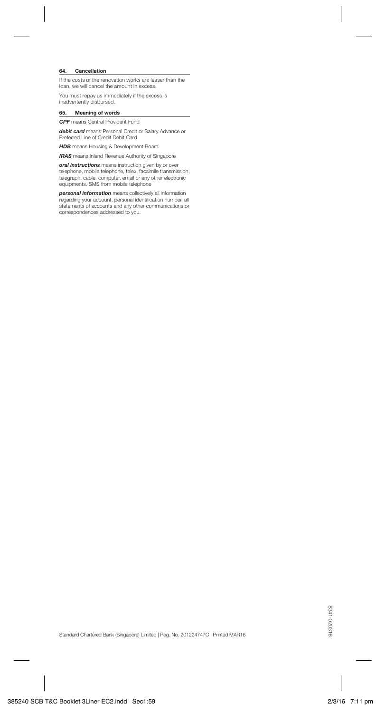## **64. Cancellation**

If the costs of the renovation works are lesser than the loan, we will cancel the amount in excess.

You must repay us immediately if the excess is inadvertently disbursed.

## **65. Meaning of words**

*CPF* means Central Provident Fund

*debit card* means Personal Credit or Salary Advance or Preferred Line of Credit Debit Card

*HDB* means Housing & Development Board

*IRAS* means Inland Revenue Authority of Singapore

*oral instructions* means instruction given by or over telephone, mobile telephone, telex, facsimile transmission, telegraph, cable, computer, email or any other electronic equipments, SMS from mobile telephone

*personal information* means collectively all information regarding your account, personal identification number, all statements of accounts and any other communications or correspondences addressed to you.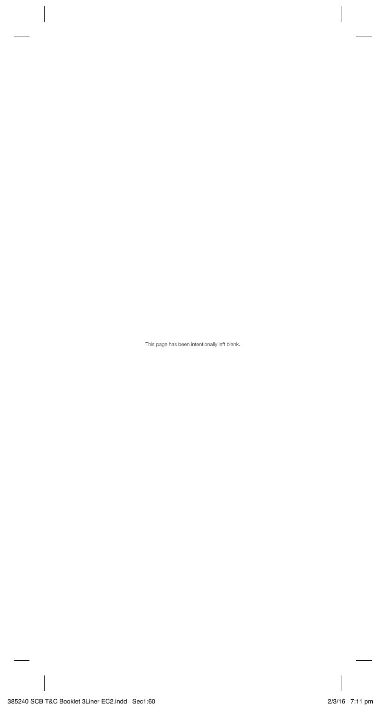This page has been intentionally left blank.